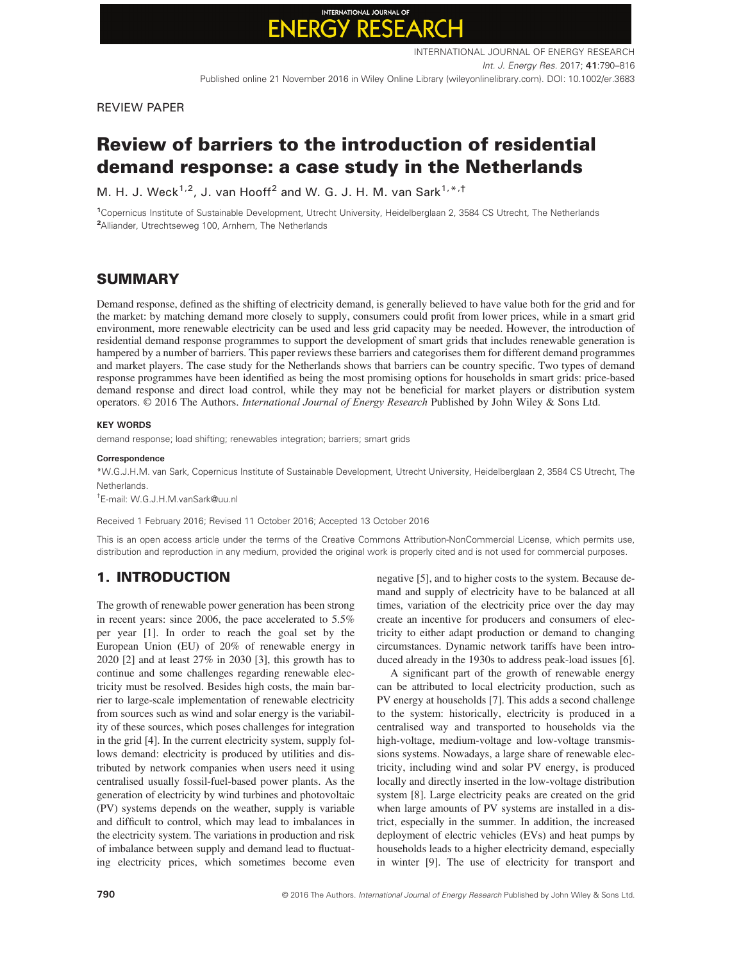# INTERNATIONAL JOURNAL OF

REVIEW PAPER

## Review of barriers to the introduction of residential demand response: a case study in the Netherlands

M. H. J. Weck<sup>1,2</sup>, J. van Hooff<sup>2</sup> and W. G. J. H. M. van Sark<sup>1,\*,†</sup>

1 Copernicus Institute of Sustainable Development, Utrecht University, Heidelberglaan 2, 3584 CS Utrecht, The Netherlands <sup>2</sup> Alliander, Utrechtseweg 100, Arnhem, The Netherlands

## **SUMMARY**

Demand response, defined as the shifting of electricity demand, is generally believed to have value both for the grid and for the market: by matching demand more closely to supply, consumers could profit from lower prices, while in a smart grid environment, more renewable electricity can be used and less grid capacity may be needed. However, the introduction of residential demand response programmes to support the development of smart grids that includes renewable generation is hampered by a number of barriers. This paper reviews these barriers and categorises them for different demand programmes and market players. The case study for the Netherlands shows that barriers can be country specific. Two types of demand response programmes have been identified as being the most promising options for households in smart grids: price-based demand response and direct load control, while they may not be beneficial for market players or distribution system operators. © 2016 The Authors. International Journal of Energy Research Published by John Wiley & Sons Ltd.

#### KEY WORDS

demand response; load shifting; renewables integration; barriers; smart grids

#### **Correspondence**

\*W.G.J.H.M. van Sark, Copernicus Institute of Sustainable Development, Utrecht University, Heidelberglaan 2, 3584 CS Utrecht, The **Natharlands** 

† E-mail: W.G.J.H.M.vanSark@uu.nl

Received 1 February 2016; Revised 11 October 2016; Accepted 13 October 2016

This is an open access article under the terms of the [Creative Commons Attribution-NonCommercial](http://creativecommons.org/licenses/by-nc/4.0/) License, which permits use, distribution and reproduction in any medium, provided the original work is properly cited and is not used for commercial purposes.

## 1. INTRODUCTION

The growth of renewable power generation has been strong in recent years: since 2006, the pace accelerated to 5.5% per year [1]. In order to reach the goal set by the European Union (EU) of 20% of renewable energy in 2020 [2] and at least 27% in 2030 [3], this growth has to continue and some challenges regarding renewable electricity must be resolved. Besides high costs, the main barrier to large-scale implementation of renewable electricity from sources such as wind and solar energy is the variability of these sources, which poses challenges for integration in the grid [4]. In the current electricity system, supply follows demand: electricity is produced by utilities and distributed by network companies when users need it using centralised usually fossil-fuel-based power plants. As the generation of electricity by wind turbines and photovoltaic (PV) systems depends on the weather, supply is variable and difficult to control, which may lead to imbalances in the electricity system. The variations in production and risk of imbalance between supply and demand lead to fluctuating electricity prices, which sometimes become even

negative [5], and to higher costs to the system. Because demand and supply of electricity have to be balanced at all times, variation of the electricity price over the day may create an incentive for producers and consumers of electricity to either adapt production or demand to changing circumstances. Dynamic network tariffs have been introduced already in the 1930s to address peak-load issues [6].

A significant part of the growth of renewable energy can be attributed to local electricity production, such as PV energy at households [7]. This adds a second challenge to the system: historically, electricity is produced in a centralised way and transported to households via the high-voltage, medium-voltage and low-voltage transmissions systems. Nowadays, a large share of renewable electricity, including wind and solar PV energy, is produced locally and directly inserted in the low-voltage distribution system [8]. Large electricity peaks are created on the grid when large amounts of PV systems are installed in a district, especially in the summer. In addition, the increased deployment of electric vehicles (EVs) and heat pumps by households leads to a higher electricity demand, especially in winter [9]. The use of electricity for transport and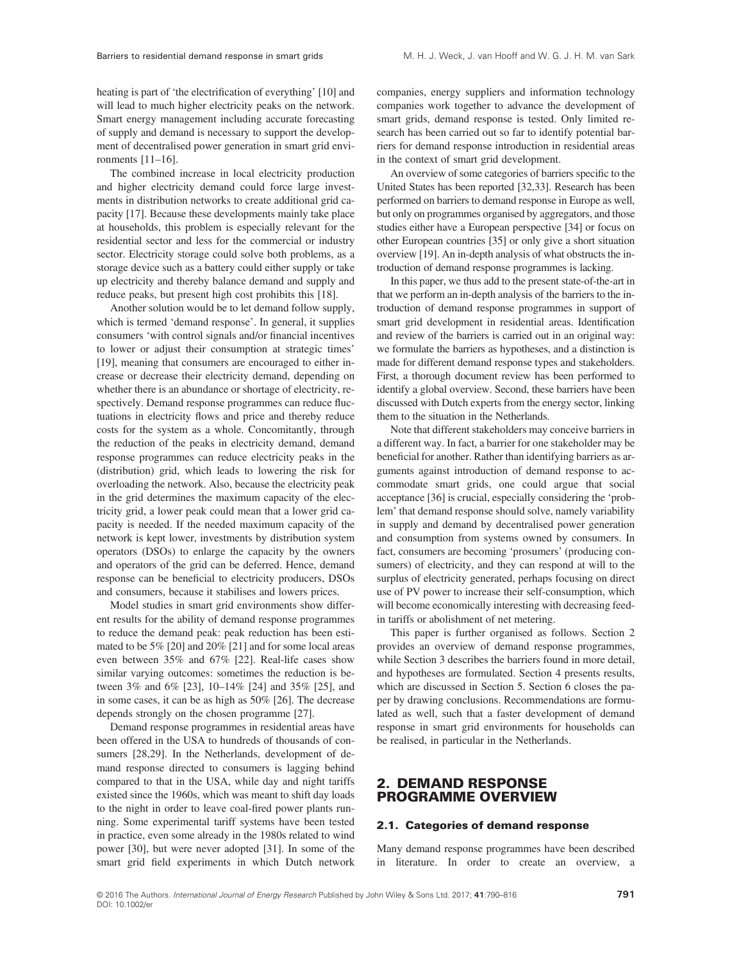heating is part of 'the electrification of everything' [10] and will lead to much higher electricity peaks on the network. Smart energy management including accurate forecasting of supply and demand is necessary to support the development of decentralised power generation in smart grid environments [11–16].

The combined increase in local electricity production and higher electricity demand could force large investments in distribution networks to create additional grid capacity [17]. Because these developments mainly take place at households, this problem is especially relevant for the residential sector and less for the commercial or industry sector. Electricity storage could solve both problems, as a storage device such as a battery could either supply or take up electricity and thereby balance demand and supply and reduce peaks, but present high cost prohibits this [18].

Another solution would be to let demand follow supply, which is termed 'demand response'. In general, it supplies consumers 'with control signals and/or financial incentives to lower or adjust their consumption at strategic times' [19], meaning that consumers are encouraged to either increase or decrease their electricity demand, depending on whether there is an abundance or shortage of electricity, respectively. Demand response programmes can reduce fluctuations in electricity flows and price and thereby reduce costs for the system as a whole. Concomitantly, through the reduction of the peaks in electricity demand, demand response programmes can reduce electricity peaks in the (distribution) grid, which leads to lowering the risk for overloading the network. Also, because the electricity peak in the grid determines the maximum capacity of the electricity grid, a lower peak could mean that a lower grid capacity is needed. If the needed maximum capacity of the network is kept lower, investments by distribution system operators (DSOs) to enlarge the capacity by the owners and operators of the grid can be deferred. Hence, demand response can be beneficial to electricity producers, DSOs and consumers, because it stabilises and lowers prices.

Model studies in smart grid environments show different results for the ability of demand response programmes to reduce the demand peak: peak reduction has been estimated to be 5% [20] and 20% [21] and for some local areas even between 35% and 67% [22]. Real-life cases show similar varying outcomes: sometimes the reduction is between 3% and 6% [23], 10–14% [24] and 35% [25], and in some cases, it can be as high as 50% [26]. The decrease depends strongly on the chosen programme [27].

Demand response programmes in residential areas have been offered in the USA to hundreds of thousands of consumers [28,29]. In the Netherlands, development of demand response directed to consumers is lagging behind compared to that in the USA, while day and night tariffs existed since the 1960s, which was meant to shift day loads to the night in order to leave coal-fired power plants running. Some experimental tariff systems have been tested in practice, even some already in the 1980s related to wind power [30], but were never adopted [31]. In some of the smart grid field experiments in which Dutch network companies, energy suppliers and information technology companies work together to advance the development of smart grids, demand response is tested. Only limited research has been carried out so far to identify potential barriers for demand response introduction in residential areas in the context of smart grid development.

An overview of some categories of barriers specific to the United States has been reported [32,33]. Research has been performed on barriers to demand response in Europe as well, but only on programmes organised by aggregators, and those studies either have a European perspective [34] or focus on other European countries [35] or only give a short situation overview [19]. An in-depth analysis of what obstructs the introduction of demand response programmes is lacking.

In this paper, we thus add to the present state-of-the-art in that we perform an in-depth analysis of the barriers to the introduction of demand response programmes in support of smart grid development in residential areas. Identification and review of the barriers is carried out in an original way: we formulate the barriers as hypotheses, and a distinction is made for different demand response types and stakeholders. First, a thorough document review has been performed to identify a global overview. Second, these barriers have been discussed with Dutch experts from the energy sector, linking them to the situation in the Netherlands.

Note that different stakeholders may conceive barriers in a different way. In fact, a barrier for one stakeholder may be beneficial for another. Rather than identifying barriers as arguments against introduction of demand response to accommodate smart grids, one could argue that social acceptance [36] is crucial, especially considering the 'problem' that demand response should solve, namely variability in supply and demand by decentralised power generation and consumption from systems owned by consumers. In fact, consumers are becoming 'prosumers' (producing consumers) of electricity, and they can respond at will to the surplus of electricity generated, perhaps focusing on direct use of PV power to increase their self-consumption, which will become economically interesting with decreasing feedin tariffs or abolishment of net metering.

This paper is further organised as follows. Section 2 provides an overview of demand response programmes, while Section 3 describes the barriers found in more detail, and hypotheses are formulated. Section 4 presents results, which are discussed in Section 5. Section 6 closes the paper by drawing conclusions. Recommendations are formulated as well, such that a faster development of demand response in smart grid environments for households can be realised, in particular in the Netherlands.

#### 2. DEMAND RESPONSE PROGRAMME OVERVIEW

#### 2.1. Categories of demand response

Many demand response programmes have been described in literature. In order to create an overview, a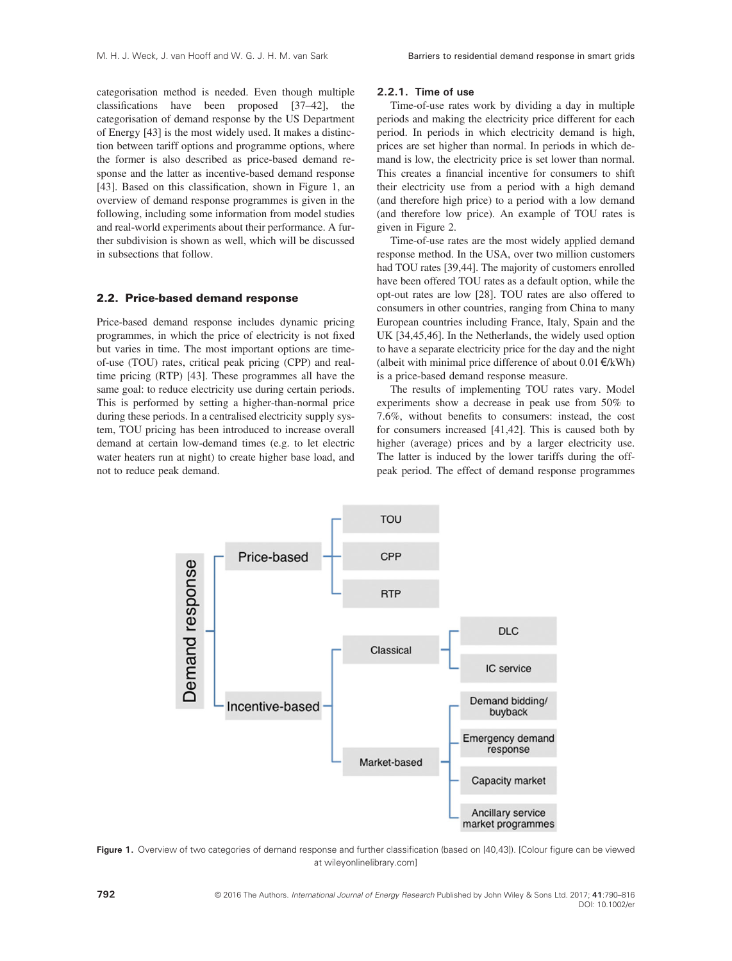categorisation method is needed. Even though multiple classifications have been proposed [37–42], the categorisation of demand response by the US Department of Energy [43] is the most widely used. It makes a distinction between tariff options and programme options, where the former is also described as price-based demand response and the latter as incentive-based demand response [43]. Based on this classification, shown in Figure 1, an overview of demand response programmes is given in the following, including some information from model studies and real-world experiments about their performance. A further subdivision is shown as well, which will be discussed in subsections that follow.

#### 2.2. Price-based demand response

Price-based demand response includes dynamic pricing programmes, in which the price of electricity is not fixed but varies in time. The most important options are timeof-use (TOU) rates, critical peak pricing (CPP) and realtime pricing (RTP) [43]. These programmes all have the same goal: to reduce electricity use during certain periods. This is performed by setting a higher-than-normal price during these periods. In a centralised electricity supply system, TOU pricing has been introduced to increase overall demand at certain low-demand times (e.g. to let electric water heaters run at night) to create higher base load, and not to reduce peak demand.

#### 2.2.1. Time of use

Time-of-use rates work by dividing a day in multiple periods and making the electricity price different for each period. In periods in which electricity demand is high, prices are set higher than normal. In periods in which demand is low, the electricity price is set lower than normal. This creates a financial incentive for consumers to shift their electricity use from a period with a high demand (and therefore high price) to a period with a low demand (and therefore low price). An example of TOU rates is given in Figure 2.

Time-of-use rates are the most widely applied demand response method. In the USA, over two million customers had TOU rates [39,44]. The majority of customers enrolled have been offered TOU rates as a default option, while the opt-out rates are low [28]. TOU rates are also offered to consumers in other countries, ranging from China to many European countries including France, Italy, Spain and the UK [34,45,46]. In the Netherlands, the widely used option to have a separate electricity price for the day and the night (albeit with minimal price difference of about  $0.01 \in kWh$ ) is a price-based demand response measure.

The results of implementing TOU rates vary. Model experiments show a decrease in peak use from 50% to 7.6%, without benefits to consumers: instead, the cost for consumers increased [41,42]. This is caused both by higher (average) prices and by a larger electricity use. The latter is induced by the lower tariffs during the offpeak period. The effect of demand response programmes



Figure 1. Overview of two categories of demand response and further classification (based on [40,43]). [Colour figure can be viewed at [wileyonlinelibrary.com\]](http://wileyonlinelibrary.com)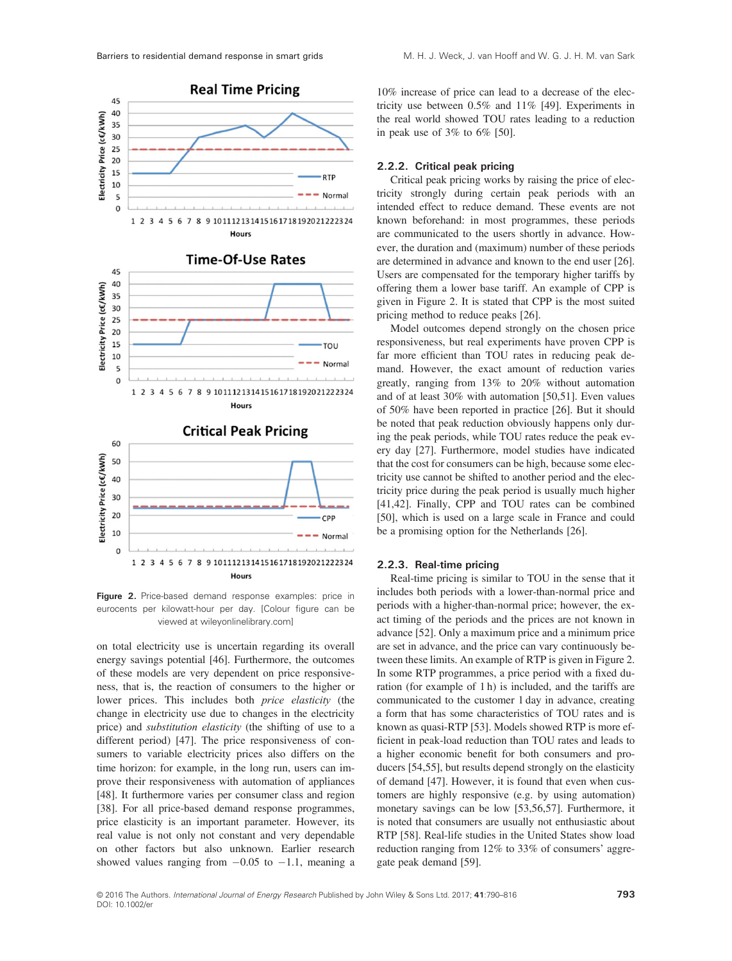

Figure 2. Price-based demand response examples: price in eurocents per kilowatt-hour per day. [Colour figure can be viewed at [wileyonlinelibrary.com\]](http://wileyonlinelibrary.com)

Hour:

on total electricity use is uncertain regarding its overall energy savings potential [46]. Furthermore, the outcomes of these models are very dependent on price responsiveness, that is, the reaction of consumers to the higher or lower prices. This includes both price elasticity (the change in electricity use due to changes in the electricity price) and substitution elasticity (the shifting of use to a different period) [47]. The price responsiveness of consumers to variable electricity prices also differs on the time horizon: for example, in the long run, users can improve their responsiveness with automation of appliances [48]. It furthermore varies per consumer class and region [38]. For all price-based demand response programmes, price elasticity is an important parameter. However, its real value is not only not constant and very dependable on other factors but also unknown. Earlier research showed values ranging from  $-0.05$  to  $-1.1$ , meaning a

10% increase of price can lead to a decrease of the electricity use between 0.5% and 11% [49]. Experiments in the real world showed TOU rates leading to a reduction in peak use of 3% to 6% [50].

#### 2.2.2. Critical peak pricing

Critical peak pricing works by raising the price of electricity strongly during certain peak periods with an intended effect to reduce demand. These events are not known beforehand: in most programmes, these periods are communicated to the users shortly in advance. However, the duration and (maximum) number of these periods are determined in advance and known to the end user [26]. Users are compensated for the temporary higher tariffs by offering them a lower base tariff. An example of CPP is given in Figure 2. It is stated that CPP is the most suited pricing method to reduce peaks [26].

Model outcomes depend strongly on the chosen price responsiveness, but real experiments have proven CPP is far more efficient than TOU rates in reducing peak demand. However, the exact amount of reduction varies greatly, ranging from 13% to 20% without automation and of at least 30% with automation [50,51]. Even values of 50% have been reported in practice [26]. But it should be noted that peak reduction obviously happens only during the peak periods, while TOU rates reduce the peak every day [27]. Furthermore, model studies have indicated that the cost for consumers can be high, because some electricity use cannot be shifted to another period and the electricity price during the peak period is usually much higher [41,42]. Finally, CPP and TOU rates can be combined [50], which is used on a large scale in France and could be a promising option for the Netherlands [26].

#### 2.2.3. Real-time pricing

Real-time pricing is similar to TOU in the sense that it includes both periods with a lower-than-normal price and periods with a higher-than-normal price; however, the exact timing of the periods and the prices are not known in advance [52]. Only a maximum price and a minimum price are set in advance, and the price can vary continuously between these limits. An example of RTP is given in Figure 2. In some RTP programmes, a price period with a fixed duration (for example of 1 h) is included, and the tariffs are communicated to the customer 1 day in advance, creating a form that has some characteristics of TOU rates and is known as quasi-RTP [53]. Models showed RTP is more efficient in peak-load reduction than TOU rates and leads to a higher economic benefit for both consumers and producers [54,55], but results depend strongly on the elasticity of demand [47]. However, it is found that even when customers are highly responsive (e.g. by using automation) monetary savings can be low [53,56,57]. Furthermore, it is noted that consumers are usually not enthusiastic about RTP [58]. Real-life studies in the United States show load reduction ranging from 12% to 33% of consumers' aggregate peak demand [59].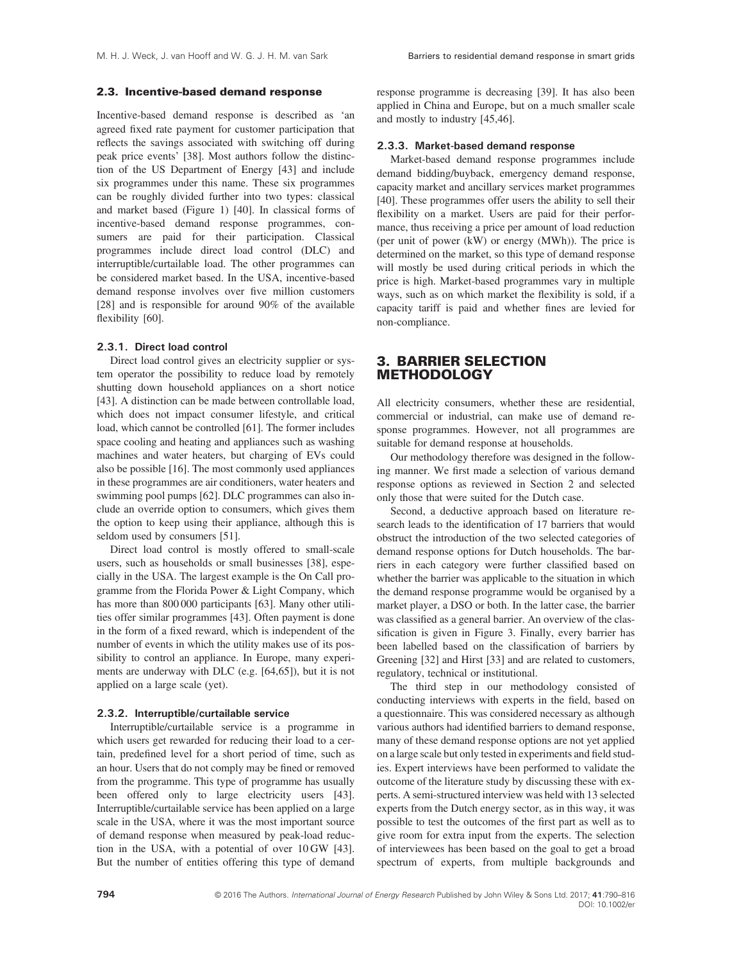#### 2.3. Incentive-based demand response

Incentive-based demand response is described as 'an agreed fixed rate payment for customer participation that reflects the savings associated with switching off during peak price events' [38]. Most authors follow the distinction of the US Department of Energy [43] and include six programmes under this name. These six programmes can be roughly divided further into two types: classical and market based (Figure 1) [40]. In classical forms of incentive-based demand response programmes, consumers are paid for their participation. Classical programmes include direct load control (DLC) and interruptible/curtailable load. The other programmes can be considered market based. In the USA, incentive-based demand response involves over five million customers [28] and is responsible for around 90% of the available flexibility [60].

#### 2.3.1. Direct load control

Direct load control gives an electricity supplier or system operator the possibility to reduce load by remotely shutting down household appliances on a short notice [43]. A distinction can be made between controllable load, which does not impact consumer lifestyle, and critical load, which cannot be controlled [61]. The former includes space cooling and heating and appliances such as washing machines and water heaters, but charging of EVs could also be possible [16]. The most commonly used appliances in these programmes are air conditioners, water heaters and swimming pool pumps [62]. DLC programmes can also include an override option to consumers, which gives them the option to keep using their appliance, although this is seldom used by consumers [51].

Direct load control is mostly offered to small-scale users, such as households or small businesses [38], especially in the USA. The largest example is the On Call programme from the Florida Power & Light Company, which has more than 800 000 participants [63]. Many other utilities offer similar programmes [43]. Often payment is done in the form of a fixed reward, which is independent of the number of events in which the utility makes use of its possibility to control an appliance. In Europe, many experiments are underway with DLC (e.g. [64,65]), but it is not applied on a large scale (yet).

#### 2.3.2. Interruptible/curtailable service

Interruptible/curtailable service is a programme in which users get rewarded for reducing their load to a certain, predefined level for a short period of time, such as an hour. Users that do not comply may be fined or removed from the programme. This type of programme has usually been offered only to large electricity users [43]. Interruptible/curtailable service has been applied on a large scale in the USA, where it was the most important source of demand response when measured by peak-load reduction in the USA, with a potential of over 10 GW [43]. But the number of entities offering this type of demand response programme is decreasing [39]. It has also been applied in China and Europe, but on a much smaller scale and mostly to industry [45,46].

#### 2.3.3. Market-based demand response

Market-based demand response programmes include demand bidding/buyback, emergency demand response, capacity market and ancillary services market programmes [40]. These programmes offer users the ability to sell their flexibility on a market. Users are paid for their performance, thus receiving a price per amount of load reduction (per unit of power (kW) or energy (MWh)). The price is determined on the market, so this type of demand response will mostly be used during critical periods in which the price is high. Market-based programmes vary in multiple ways, such as on which market the flexibility is sold, if a capacity tariff is paid and whether fines are levied for non-compliance.

#### 3. BARRIER SELECTION **METHODOLOGY**

All electricity consumers, whether these are residential, commercial or industrial, can make use of demand response programmes. However, not all programmes are suitable for demand response at households.

Our methodology therefore was designed in the following manner. We first made a selection of various demand response options as reviewed in Section 2 and selected only those that were suited for the Dutch case.

Second, a deductive approach based on literature research leads to the identification of 17 barriers that would obstruct the introduction of the two selected categories of demand response options for Dutch households. The barriers in each category were further classified based on whether the barrier was applicable to the situation in which the demand response programme would be organised by a market player, a DSO or both. In the latter case, the barrier was classified as a general barrier. An overview of the classification is given in Figure 3. Finally, every barrier has been labelled based on the classification of barriers by Greening [32] and Hirst [33] and are related to customers, regulatory, technical or institutional.

The third step in our methodology consisted of conducting interviews with experts in the field, based on a questionnaire. This was considered necessary as although various authors had identified barriers to demand response, many of these demand response options are not yet applied on a large scale but only tested in experiments and field studies. Expert interviews have been performed to validate the outcome of the literature study by discussing these with experts. A semi-structured interview was held with 13 selected experts from the Dutch energy sector, as in this way, it was possible to test the outcomes of the first part as well as to give room for extra input from the experts. The selection of interviewees has been based on the goal to get a broad spectrum of experts, from multiple backgrounds and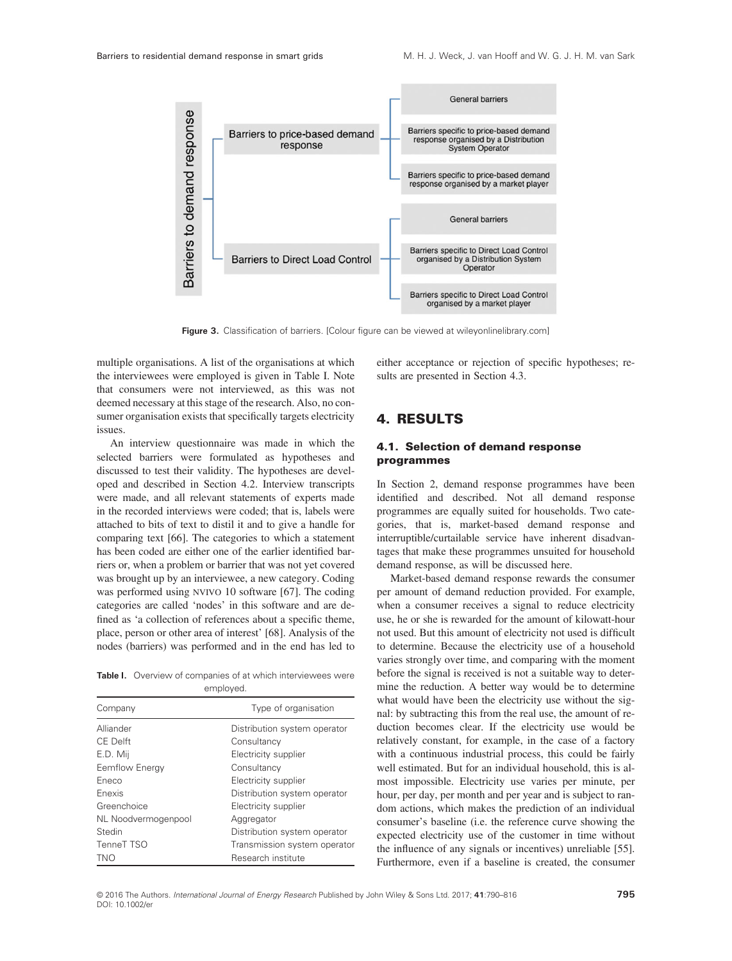

Figure 3. Classification of barriers. [Colour figure can be viewed at [wileyonlinelibrary.com](http://wileyonlinelibrary.com)]

multiple organisations. A list of the organisations at which the interviewees were employed is given in Table I. Note that consumers were not interviewed, as this was not deemed necessary at this stage of the research. Also, no consumer organisation exists that specifically targets electricity issues.

An interview questionnaire was made in which the selected barriers were formulated as hypotheses and discussed to test their validity. The hypotheses are developed and described in Section 4.2. Interview transcripts were made, and all relevant statements of experts made in the recorded interviews were coded; that is, labels were attached to bits of text to distil it and to give a handle for comparing text [66]. The categories to which a statement has been coded are either one of the earlier identified barriers or, when a problem or barrier that was not yet covered was brought up by an interviewee, a new category. Coding was performed using NVIVO 10 software [67]. The coding categories are called 'nodes' in this software and are defined as 'a collection of references about a specific theme, place, person or other area of interest' [68]. Analysis of the nodes (barriers) was performed and in the end has led to

Table I. Overview of companies of at which interviewees were employed.

| Company             | Type of organisation         |
|---------------------|------------------------------|
| Alliander           | Distribution system operator |
| CE Delft            | Consultancy                  |
| E.D. Mij            | Electricity supplier         |
| Eemflow Energy      | Consultancy                  |
| Eneco               | Electricity supplier         |
| Fnexis              | Distribution system operator |
| Greenchoice         | Electricity supplier         |
| NL Noodvermogenpool | Aggregator                   |
| Stedin              | Distribution system operator |
| TenneT TSO          | Transmission system operator |
| TNO                 | Research institute           |

either acceptance or rejection of specific hypotheses; results are presented in Section 4.3.

## 4. RESULTS

#### 4.1. Selection of demand response programmes

In Section 2, demand response programmes have been identified and described. Not all demand response programmes are equally suited for households. Two categories, that is, market-based demand response and interruptible/curtailable service have inherent disadvantages that make these programmes unsuited for household demand response, as will be discussed here.

Market-based demand response rewards the consumer per amount of demand reduction provided. For example, when a consumer receives a signal to reduce electricity use, he or she is rewarded for the amount of kilowatt-hour not used. But this amount of electricity not used is difficult to determine. Because the electricity use of a household varies strongly over time, and comparing with the moment before the signal is received is not a suitable way to determine the reduction. A better way would be to determine what would have been the electricity use without the signal: by subtracting this from the real use, the amount of reduction becomes clear. If the electricity use would be relatively constant, for example, in the case of a factory with a continuous industrial process, this could be fairly well estimated. But for an individual household, this is almost impossible. Electricity use varies per minute, per hour, per day, per month and per year and is subject to random actions, which makes the prediction of an individual consumer's baseline (i.e. the reference curve showing the expected electricity use of the customer in time without the influence of any signals or incentives) unreliable [55]. Furthermore, even if a baseline is created, the consumer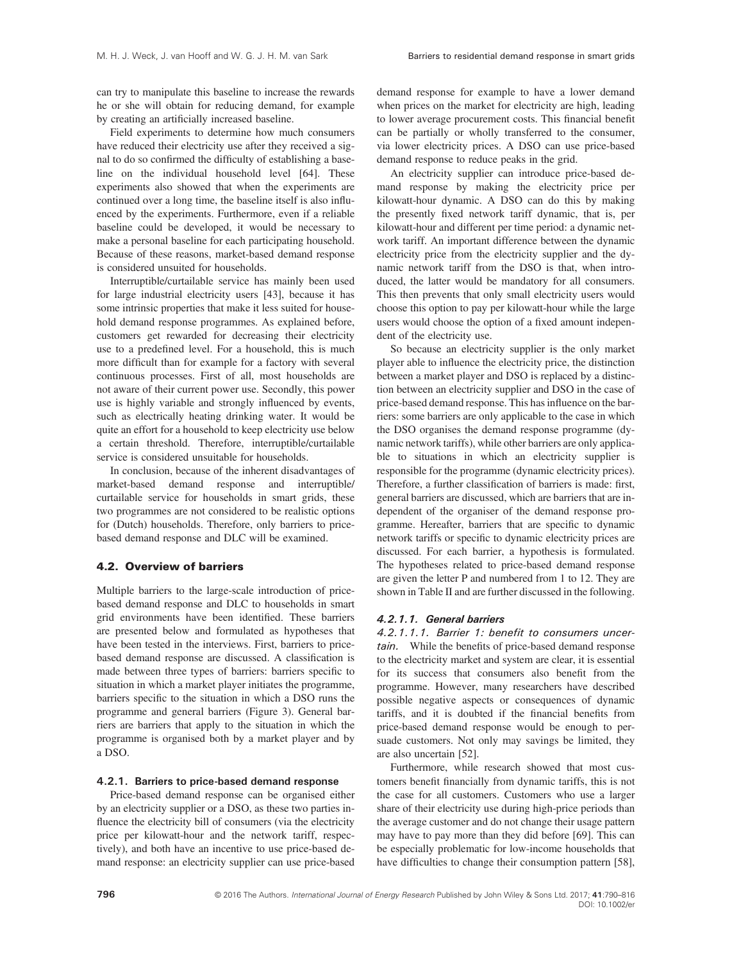can try to manipulate this baseline to increase the rewards he or she will obtain for reducing demand, for example by creating an artificially increased baseline.

Field experiments to determine how much consumers have reduced their electricity use after they received a signal to do so confirmed the difficulty of establishing a baseline on the individual household level [64]. These experiments also showed that when the experiments are continued over a long time, the baseline itself is also influenced by the experiments. Furthermore, even if a reliable baseline could be developed, it would be necessary to make a personal baseline for each participating household. Because of these reasons, market-based demand response is considered unsuited for households.

Interruptible/curtailable service has mainly been used for large industrial electricity users [43], because it has some intrinsic properties that make it less suited for household demand response programmes. As explained before, customers get rewarded for decreasing their electricity use to a predefined level. For a household, this is much more difficult than for example for a factory with several continuous processes. First of all, most households are not aware of their current power use. Secondly, this power use is highly variable and strongly influenced by events, such as electrically heating drinking water. It would be quite an effort for a household to keep electricity use below a certain threshold. Therefore, interruptible/curtailable service is considered unsuitable for households.

In conclusion, because of the inherent disadvantages of market-based demand response and interruptible/ curtailable service for households in smart grids, these two programmes are not considered to be realistic options for (Dutch) households. Therefore, only barriers to pricebased demand response and DLC will be examined.

#### 4.2. Overview of barriers

Multiple barriers to the large-scale introduction of pricebased demand response and DLC to households in smart grid environments have been identified. These barriers are presented below and formulated as hypotheses that have been tested in the interviews. First, barriers to pricebased demand response are discussed. A classification is made between three types of barriers: barriers specific to situation in which a market player initiates the programme, barriers specific to the situation in which a DSO runs the programme and general barriers (Figure 3). General barriers are barriers that apply to the situation in which the programme is organised both by a market player and by a DSO.

#### 4.2.1. Barriers to price-based demand response

Price-based demand response can be organised either by an electricity supplier or a DSO, as these two parties influence the electricity bill of consumers (via the electricity price per kilowatt-hour and the network tariff, respectively), and both have an incentive to use price-based demand response: an electricity supplier can use price-based demand response for example to have a lower demand when prices on the market for electricity are high, leading to lower average procurement costs. This financial benefit can be partially or wholly transferred to the consumer, via lower electricity prices. A DSO can use price-based demand response to reduce peaks in the grid.

An electricity supplier can introduce price-based demand response by making the electricity price per kilowatt-hour dynamic. A DSO can do this by making the presently fixed network tariff dynamic, that is, per kilowatt-hour and different per time period: a dynamic network tariff. An important difference between the dynamic electricity price from the electricity supplier and the dynamic network tariff from the DSO is that, when introduced, the latter would be mandatory for all consumers. This then prevents that only small electricity users would choose this option to pay per kilowatt-hour while the large users would choose the option of a fixed amount independent of the electricity use.

So because an electricity supplier is the only market player able to influence the electricity price, the distinction between a market player and DSO is replaced by a distinction between an electricity supplier and DSO in the case of price-based demand response. This has influence on the barriers: some barriers are only applicable to the case in which the DSO organises the demand response programme (dynamic network tariffs), while other barriers are only applicable to situations in which an electricity supplier is responsible for the programme (dynamic electricity prices). Therefore, a further classification of barriers is made: first, general barriers are discussed, which are barriers that are independent of the organiser of the demand response programme. Hereafter, barriers that are specific to dynamic network tariffs or specific to dynamic electricity prices are discussed. For each barrier, a hypothesis is formulated. The hypotheses related to price-based demand response are given the letter P and numbered from 1 to 12. They are shown in Table II and are further discussed in the following.

#### 4.2.1.1. General barriers

4.2.1.1.1. Barrier 1: benefit to consumers uncertain. While the benefits of price-based demand response to the electricity market and system are clear, it is essential for its success that consumers also benefit from the programme. However, many researchers have described possible negative aspects or consequences of dynamic tariffs, and it is doubted if the financial benefits from price-based demand response would be enough to persuade customers. Not only may savings be limited, they are also uncertain [52].

Furthermore, while research showed that most customers benefit financially from dynamic tariffs, this is not the case for all customers. Customers who use a larger share of their electricity use during high-price periods than the average customer and do not change their usage pattern may have to pay more than they did before [69]. This can be especially problematic for low-income households that have difficulties to change their consumption pattern [58],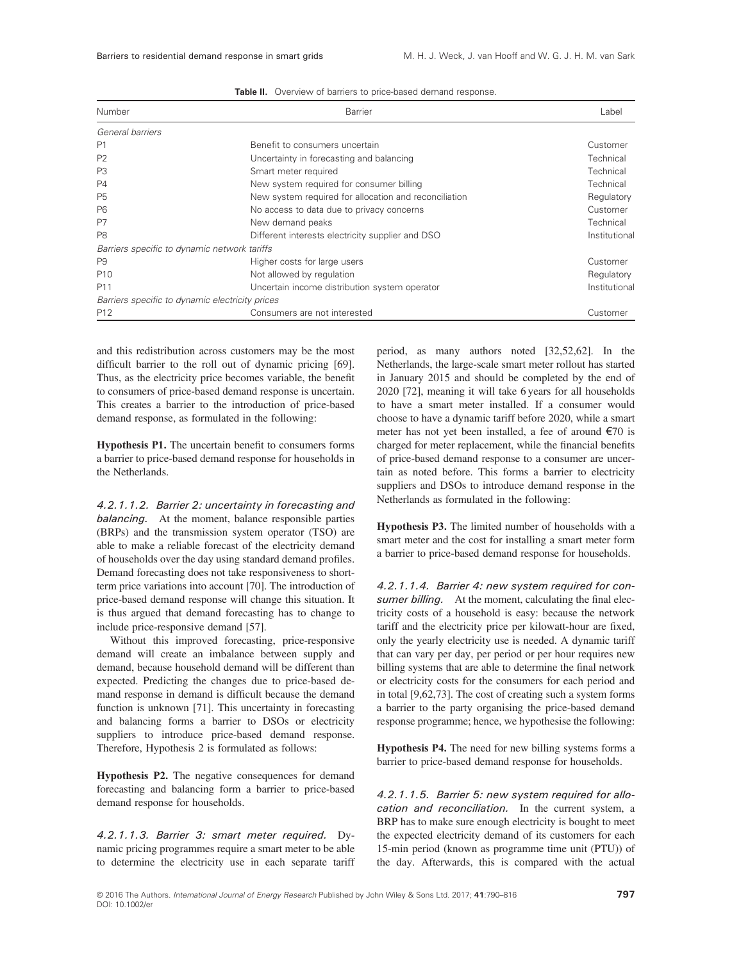| Number                                          | Barrier                                               | Label         |
|-------------------------------------------------|-------------------------------------------------------|---------------|
| General barriers                                |                                                       |               |
| P <sub>1</sub>                                  | Benefit to consumers uncertain                        | Customer      |
| P <sub>2</sub>                                  | Uncertainty in forecasting and balancing              | Technical     |
| P <sub>3</sub>                                  | Smart meter required                                  | Technical     |
| <b>P4</b>                                       | New system required for consumer billing              | Technical     |
| <b>P5</b>                                       | New system required for allocation and reconciliation | Regulatory    |
| P <sub>6</sub>                                  | No access to data due to privacy concerns             | Customer      |
| P7                                              | New demand peaks                                      | Technical     |
| P <sub>8</sub>                                  | Different interests electricity supplier and DSO      | Institutional |
| Barriers specific to dynamic network tariffs    |                                                       |               |
| P <sub>9</sub>                                  | Higher costs for large users                          | Customer      |
| P <sub>10</sub>                                 | Not allowed by regulation                             | Regulatory    |
| P <sub>11</sub>                                 | Uncertain income distribution system operator         | Institutional |
| Barriers specific to dynamic electricity prices |                                                       |               |
| P <sub>12</sub>                                 | Consumers are not interested                          | Customer      |

Table II. Overview of barriers to price-based demand response.

and this redistribution across customers may be the most difficult barrier to the roll out of dynamic pricing [69]. Thus, as the electricity price becomes variable, the benefit to consumers of price-based demand response is uncertain. This creates a barrier to the introduction of price-based demand response, as formulated in the following:

Hypothesis P1. The uncertain benefit to consumers forms a barrier to price-based demand response for households in the Netherlands.

4.2.1.1.2. Barrier 2: uncertainty in forecasting and balancing. At the moment, balance responsible parties (BRPs) and the transmission system operator (TSO) are able to make a reliable forecast of the electricity demand of households over the day using standard demand profiles. Demand forecasting does not take responsiveness to shortterm price variations into account [70]. The introduction of price-based demand response will change this situation. It is thus argued that demand forecasting has to change to include price-responsive demand [57].

Without this improved forecasting, price-responsive demand will create an imbalance between supply and demand, because household demand will be different than expected. Predicting the changes due to price-based demand response in demand is difficult because the demand function is unknown [71]. This uncertainty in forecasting and balancing forms a barrier to DSOs or electricity suppliers to introduce price-based demand response. Therefore, Hypothesis 2 is formulated as follows:

Hypothesis P2. The negative consequences for demand forecasting and balancing form a barrier to price-based demand response for households.

4.2.1.1.3. Barrier 3: smart meter required. Dynamic pricing programmes require a smart meter to be able to determine the electricity use in each separate tariff

period, as many authors noted [32,52,62]. In the Netherlands, the large-scale smart meter rollout has started in January 2015 and should be completed by the end of 2020 [72], meaning it will take 6 years for all households to have a smart meter installed. If a consumer would choose to have a dynamic tariff before 2020, while a smart meter has not yet been installed, a fee of around €70 is charged for meter replacement, while the financial benefits of price-based demand response to a consumer are uncertain as noted before. This forms a barrier to electricity suppliers and DSOs to introduce demand response in the Netherlands as formulated in the following:

Hypothesis P3. The limited number of households with a smart meter and the cost for installing a smart meter form a barrier to price-based demand response for households.

4.2.1.1.4. Barrier 4: new system required for consumer billing. At the moment, calculating the final electricity costs of a household is easy: because the network tariff and the electricity price per kilowatt-hour are fixed, only the yearly electricity use is needed. A dynamic tariff that can vary per day, per period or per hour requires new billing systems that are able to determine the final network or electricity costs for the consumers for each period and in total [9,62,73]. The cost of creating such a system forms a barrier to the party organising the price-based demand response programme; hence, we hypothesise the following:

Hypothesis P4. The need for new billing systems forms a barrier to price-based demand response for households.

4.2.1.1.5. Barrier 5: new system required for allocation and reconciliation. In the current system, a BRP has to make sure enough electricity is bought to meet the expected electricity demand of its customers for each 15-min period (known as programme time unit (PTU)) of the day. Afterwards, this is compared with the actual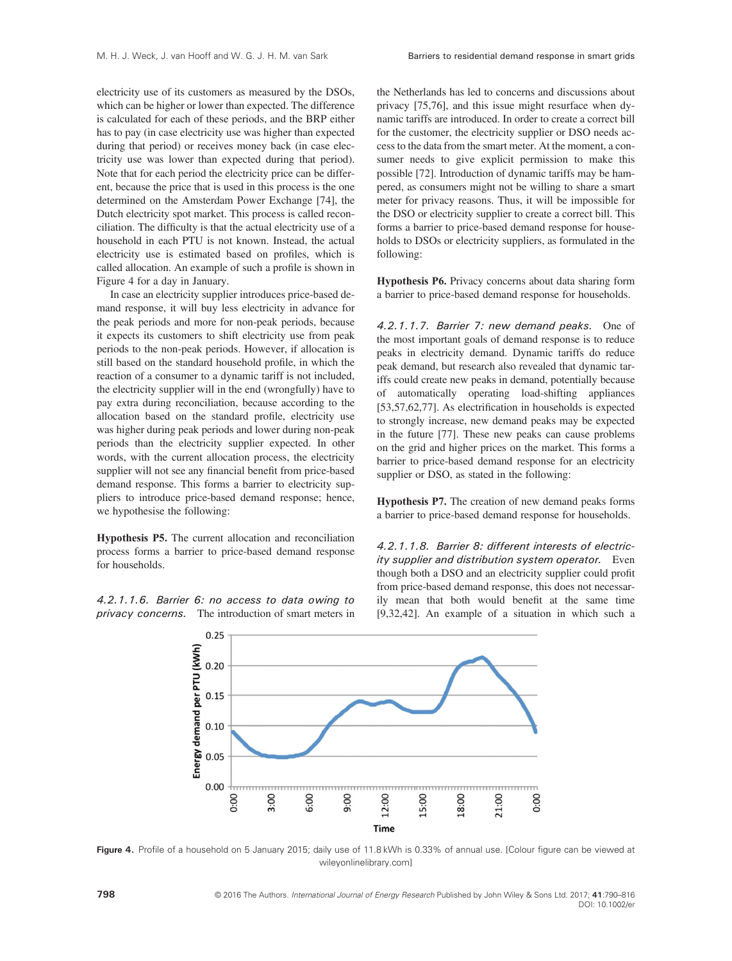electricity use of its customers as measured by the DSOs, which can be higher or lower than expected. The difference is calculated for each of these periods, and the BRP either has to pay (in case electricity use was higher than expected during that period) or receives money back (in case electricity use was lower than expected during that period). Note that for each period the electricity price can be different, because the price that is used in this process is the one determined on the Amsterdam Power Exchange [74], the Dutch electricity spot market. This process is called reconciliation. The difficulty is that the actual electricity use of a household in each PTU is not known. Instead, the actual electricity use is estimated based on profiles, which is called allocation. An example of such a profile is shown in Figure 4 for a day in January.

In case an electricity supplier introduces price-based demand response, it will buy less electricity in advance for the peak periods and more for non-peak periods, because it expects its customers to shift electricity use from peak periods to the non-peak periods. However, if allocation is still based on the standard household profile, in which the reaction of a consumer to a dynamic tariff is not included, the electricity supplier will in the end (wrongfully) have to pay extra during reconciliation, because according to the allocation based on the standard profile, electricity use was higher during peak periods and lower during non-peak periods than the electricity supplier expected. In other words, with the current allocation process, the electricity supplier will not see any financial benefit from price-based demand response. This forms a barrier to electricity suppliers to introduce price-based demand response; hence, we hypothesise the following:

Hypothesis P5. The current allocation and reconciliation process forms a barrier to price-based demand response for households.

4.2.1.1.6. Barrier 6: no access to data owing to privacy concerns. The introduction of smart meters in the Netherlands has led to concerns and discussions about privacy [75,76], and this issue might resurface when dynamic tariffs are introduced. In order to create a correct bill for the customer, the electricity supplier or DSO needs access to the data from the smart meter. At the moment, a consumer needs to give explicit permission to make this possible [72]. Introduction of dynamic tariffs may be hampered, as consumers might not be willing to share a smart meter for privacy reasons. Thus, it will be impossible for the DSO or electricity supplier to create a correct bill. This forms a barrier to price-based demand response for households to DSOs or electricity suppliers, as formulated in the following:

Hypothesis P6. Privacy concerns about data sharing form a barrier to price-based demand response for households.

4.2.1.1.7. Barrier 7: new demand peaks. One of the most important goals of demand response is to reduce peaks in electricity demand. Dynamic tariffs do reduce peak demand, but research also revealed that dynamic tariffs could create new peaks in demand, potentially because automatically operating load-shifting appliances [53,57,62,77]. As electrification in households is expected to strongly increase, new demand peaks may be expected in the future [77]. These new peaks can cause problems on the grid and higher prices on the market. This forms a barrier to price-based demand response for an electricity supplier or DSO, as stated in the following:

Hypothesis P7. The creation of new demand peaks forms a barrier to price-based demand response for households.

4.2.1.1.8. Barrier 8: different interests of electricity supplier and distribution system operator. Even though both a DSO and an electricity supplier could profit from price-based demand response, this does not necessarily mean that both would benefit at the same time [9,32,42]. An example of a situation in which such a



Figure 4. Profile of a household on 5 January 2015; daily use of 11.8 kWh is 0.33% of annual use. [Colour figure can be viewed at [wileyonlinelibrary.com](http://wileyonlinelibrary.com)]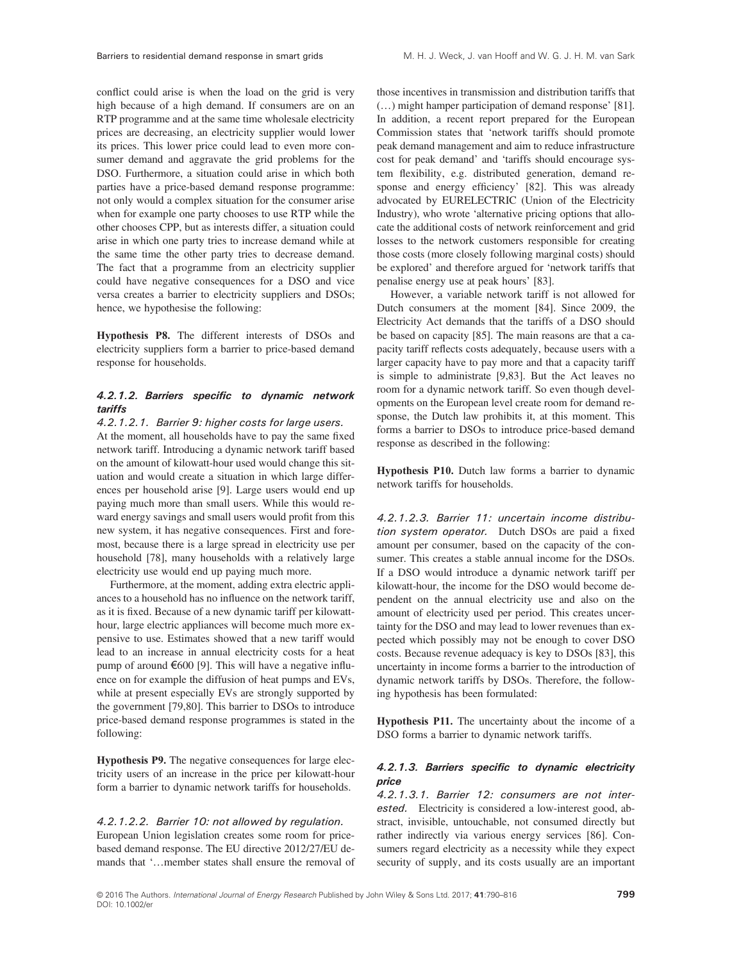conflict could arise is when the load on the grid is very high because of a high demand. If consumers are on an RTP programme and at the same time wholesale electricity prices are decreasing, an electricity supplier would lower its prices. This lower price could lead to even more consumer demand and aggravate the grid problems for the DSO. Furthermore, a situation could arise in which both parties have a price-based demand response programme: not only would a complex situation for the consumer arise when for example one party chooses to use RTP while the other chooses CPP, but as interests differ, a situation could arise in which one party tries to increase demand while at the same time the other party tries to decrease demand. The fact that a programme from an electricity supplier could have negative consequences for a DSO and vice versa creates a barrier to electricity suppliers and DSOs; hence, we hypothesise the following:

Hypothesis P8. The different interests of DSOs and electricity suppliers form a barrier to price-based demand response for households.

#### 4.2.1.2. Barriers specific to dynamic network tariffs

#### 4.2.1.2.1. Barrier 9: higher costs for large users.

At the moment, all households have to pay the same fixed network tariff. Introducing a dynamic network tariff based on the amount of kilowatt-hour used would change this situation and would create a situation in which large differences per household arise [9]. Large users would end up paying much more than small users. While this would reward energy savings and small users would profit from this new system, it has negative consequences. First and foremost, because there is a large spread in electricity use per household [78], many households with a relatively large electricity use would end up paying much more.

Furthermore, at the moment, adding extra electric appliances to a household has no influence on the network tariff, as it is fixed. Because of a new dynamic tariff per kilowatthour, large electric appliances will become much more expensive to use. Estimates showed that a new tariff would lead to an increase in annual electricity costs for a heat pump of around  $\epsilon$ 600 [9]. This will have a negative influence on for example the diffusion of heat pumps and EVs, while at present especially EVs are strongly supported by the government [79,80]. This barrier to DSOs to introduce price-based demand response programmes is stated in the following:

Hypothesis P9. The negative consequences for large electricity users of an increase in the price per kilowatt-hour form a barrier to dynamic network tariffs for households.

#### 4.2.1.2.2. Barrier 10: not allowed by regulation. European Union legislation creates some room for pricebased demand response. The EU directive 2012/27/EU demands that '…member states shall ensure the removal of

those incentives in transmission and distribution tariffs that (…) might hamper participation of demand response' [81]. In addition, a recent report prepared for the European Commission states that 'network tariffs should promote peak demand management and aim to reduce infrastructure cost for peak demand' and 'tariffs should encourage system flexibility, e.g. distributed generation, demand response and energy efficiency' [82]. This was already advocated by EURELECTRIC (Union of the Electricity Industry), who wrote 'alternative pricing options that allocate the additional costs of network reinforcement and grid losses to the network customers responsible for creating those costs (more closely following marginal costs) should be explored' and therefore argued for 'network tariffs that penalise energy use at peak hours' [83].

However, a variable network tariff is not allowed for Dutch consumers at the moment [84]. Since 2009, the Electricity Act demands that the tariffs of a DSO should be based on capacity [85]. The main reasons are that a capacity tariff reflects costs adequately, because users with a larger capacity have to pay more and that a capacity tariff is simple to administrate [9,83]. But the Act leaves no room for a dynamic network tariff. So even though developments on the European level create room for demand response, the Dutch law prohibits it, at this moment. This forms a barrier to DSOs to introduce price-based demand response as described in the following:

Hypothesis P10. Dutch law forms a barrier to dynamic network tariffs for households.

4.2.1.2.3. Barrier 11: uncertain income distribution system operator. Dutch DSOs are paid a fixed amount per consumer, based on the capacity of the consumer. This creates a stable annual income for the DSOs. If a DSO would introduce a dynamic network tariff per kilowatt-hour, the income for the DSO would become dependent on the annual electricity use and also on the amount of electricity used per period. This creates uncertainty for the DSO and may lead to lower revenues than expected which possibly may not be enough to cover DSO costs. Because revenue adequacy is key to DSOs [83], this uncertainty in income forms a barrier to the introduction of dynamic network tariffs by DSOs. Therefore, the following hypothesis has been formulated:

Hypothesis P11. The uncertainty about the income of a DSO forms a barrier to dynamic network tariffs.

#### 4.2.1.3. Barriers specific to dynamic electricity price

4.2.1.3.1. Barrier 12: consumers are not interested. Electricity is considered a low-interest good, abstract, invisible, untouchable, not consumed directly but rather indirectly via various energy services [86]. Consumers regard electricity as a necessity while they expect security of supply, and its costs usually are an important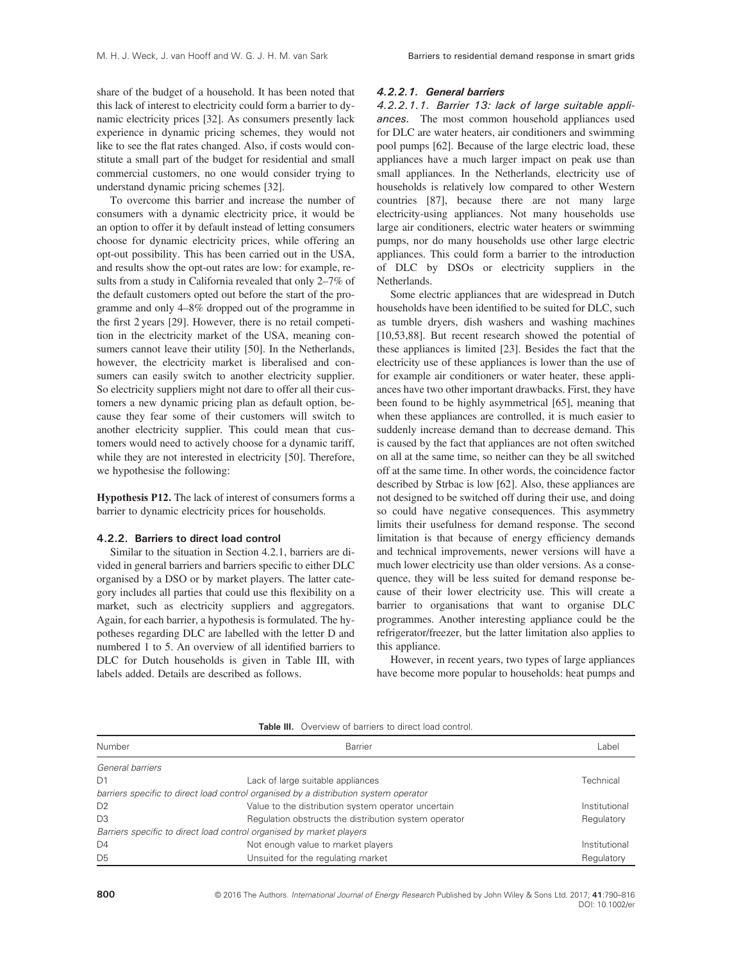share of the budget of a household. It has been noted that this lack of interest to electricity could form a barrier to dynamic electricity prices [32]. As consumers presently lack experience in dynamic pricing schemes, they would not like to see the flat rates changed. Also, if costs would constitute a small part of the budget for residential and small commercial customers, no one would consider trying to understand dynamic pricing schemes [32].

To overcome this barrier and increase the number of consumers with a dynamic electricity price, it would be an option to offer it by default instead of letting consumers choose for dynamic electricity prices, while offering an opt-out possibility. This has been carried out in the USA, and results show the opt-out rates are low: for example, results from a study in California revealed that only 2–7% of the default customers opted out before the start of the programme and only 4–8% dropped out of the programme in the first 2 years [29]. However, there is no retail competition in the electricity market of the USA, meaning consumers cannot leave their utility [50]. In the Netherlands, however, the electricity market is liberalised and consumers can easily switch to another electricity supplier. So electricity suppliers might not dare to offer all their customers a new dynamic pricing plan as default option, because they fear some of their customers will switch to another electricity supplier. This could mean that customers would need to actively choose for a dynamic tariff, while they are not interested in electricity [50]. Therefore, we hypothesise the following:

Hypothesis P12. The lack of interest of consumers forms a barrier to dynamic electricity prices for households.

#### 4.2.2. Barriers to direct load control

Similar to the situation in Section 4.2.1, barriers are divided in general barriers and barriers specific to either DLC organised by a DSO or by market players. The latter category includes all parties that could use this flexibility on a market, such as electricity suppliers and aggregators. Again, for each barrier, a hypothesis is formulated. The hypotheses regarding DLC are labelled with the letter D and numbered 1 to 5. An overview of all identified barriers to DLC for Dutch households is given in Table III, with labels added. Details are described as follows.

#### 4.2.2.1. General barriers

4.2.2.1.1. Barrier 13: lack of large suitable appliances. The most common household appliances used for DLC are water heaters, air conditioners and swimming pool pumps [62]. Because of the large electric load, these appliances have a much larger impact on peak use than small appliances. In the Netherlands, electricity use of households is relatively low compared to other Western countries [87], because there are not many large electricity-using appliances. Not many households use large air conditioners, electric water heaters or swimming pumps, nor do many households use other large electric appliances. This could form a barrier to the introduction of DLC by DSOs or electricity suppliers in the Netherlands.

Some electric appliances that are widespread in Dutch households have been identified to be suited for DLC, such as tumble dryers, dish washers and washing machines [10,53,88]. But recent research showed the potential of these appliances is limited [23]. Besides the fact that the electricity use of these appliances is lower than the use of for example air conditioners or water heater, these appliances have two other important drawbacks. First, they have been found to be highly asymmetrical [65], meaning that when these appliances are controlled, it is much easier to suddenly increase demand than to decrease demand. This is caused by the fact that appliances are not often switched on all at the same time, so neither can they be all switched off at the same time. In other words, the coincidence factor described by Strbac is low [62]. Also, these appliances are not designed to be switched off during their use, and doing so could have negative consequences. This asymmetry limits their usefulness for demand response. The second limitation is that because of energy efficiency demands and technical improvements, newer versions will have a much lower electricity use than older versions. As a consequence, they will be less suited for demand response because of their lower electricity use. This will create a barrier to organisations that want to organise DLC programmes. Another interesting appliance could be the refrigerator/freezer, but the latter limitation also applies to this appliance.

However, in recent years, two types of large appliances have become more popular to households: heat pumps and

| <b>TADIC III.</b> VYCIVICYV VI DATIICIS IV UIICUI IVAU UVIIIIVI. |                                                                                      |               |  |
|------------------------------------------------------------------|--------------------------------------------------------------------------------------|---------------|--|
| Number                                                           | Barrier                                                                              | Label         |  |
| General barriers                                                 |                                                                                      |               |  |
| D <sub>1</sub>                                                   | Lack of large suitable appliances                                                    | Technical     |  |
|                                                                  | barriers specific to direct load control organised by a distribution system operator |               |  |
| D <sub>2</sub>                                                   | Value to the distribution system operator uncertain                                  | Institutional |  |
| D <sub>3</sub>                                                   | Regulation obstructs the distribution system operator                                | Regulatory    |  |
|                                                                  | Barriers specific to direct load control organised by market players                 |               |  |
| D <sub>4</sub>                                                   | Not enough value to market players                                                   | Institutional |  |
| D <sub>5</sub>                                                   | Unsuited for the regulating market                                                   | Regulatory    |  |

Table III. Overview of barriers to direct load control.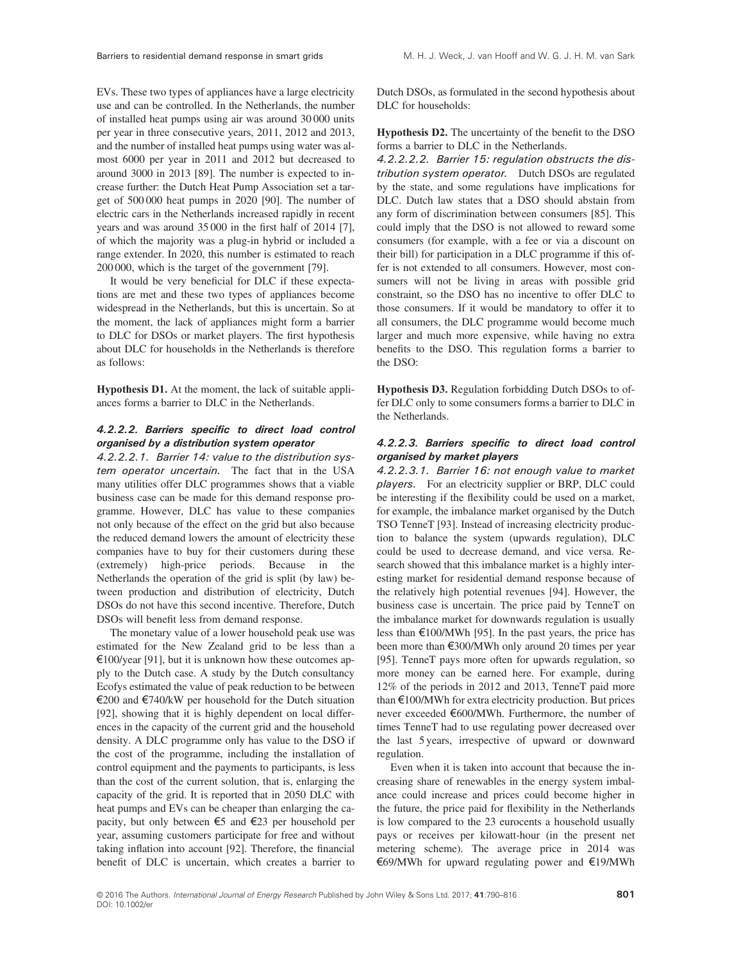EVs. These two types of appliances have a large electricity use and can be controlled. In the Netherlands, the number of installed heat pumps using air was around 30 000 units per year in three consecutive years, 2011, 2012 and 2013, and the number of installed heat pumps using water was almost 6000 per year in 2011 and 2012 but decreased to around 3000 in 2013 [89]. The number is expected to increase further: the Dutch Heat Pump Association set a target of 500 000 heat pumps in 2020 [90]. The number of electric cars in the Netherlands increased rapidly in recent years and was around 35 000 in the first half of 2014 [7], of which the majority was a plug-in hybrid or included a range extender. In 2020, this number is estimated to reach 200 000, which is the target of the government [79].

It would be very beneficial for DLC if these expectations are met and these two types of appliances become widespread in the Netherlands, but this is uncertain. So at the moment, the lack of appliances might form a barrier to DLC for DSOs or market players. The first hypothesis about DLC for households in the Netherlands is therefore as follows:

Hypothesis D1. At the moment, the lack of suitable appliances forms a barrier to DLC in the Netherlands.

#### 4.2.2.2. Barriers specific to direct load control organised by a distribution system operator

4.2.2.2.1. Barrier 14: value to the distribution system operator uncertain. The fact that in the USA many utilities offer DLC programmes shows that a viable business case can be made for this demand response programme. However, DLC has value to these companies not only because of the effect on the grid but also because the reduced demand lowers the amount of electricity these companies have to buy for their customers during these (extremely) high-price periods. Because in the Netherlands the operation of the grid is split (by law) between production and distribution of electricity, Dutch DSOs do not have this second incentive. Therefore, Dutch DSOs will benefit less from demand response.

The monetary value of a lower household peak use was estimated for the New Zealand grid to be less than a  $\epsilon$ 100/year [91], but it is unknown how these outcomes apply to the Dutch case. A study by the Dutch consultancy Ecofys estimated the value of peak reduction to be between €200 and €740/kW per household for the Dutch situation [92], showing that it is highly dependent on local differences in the capacity of the current grid and the household density. A DLC programme only has value to the DSO if the cost of the programme, including the installation of control equipment and the payments to participants, is less than the cost of the current solution, that is, enlarging the capacity of the grid. It is reported that in 2050 DLC with heat pumps and EVs can be cheaper than enlarging the capacity, but only between €5 and €23 per household per year, assuming customers participate for free and without taking inflation into account [92]. Therefore, the financial benefit of DLC is uncertain, which creates a barrier to

Dutch DSOs, as formulated in the second hypothesis about DLC for households:

Hypothesis D2. The uncertainty of the benefit to the DSO forms a barrier to DLC in the Netherlands.

4.2.2.2.2. Barrier 15: regulation obstructs the distribution system operator. Dutch DSOs are regulated by the state, and some regulations have implications for DLC. Dutch law states that a DSO should abstain from any form of discrimination between consumers [85]. This could imply that the DSO is not allowed to reward some consumers (for example, with a fee or via a discount on their bill) for participation in a DLC programme if this offer is not extended to all consumers. However, most consumers will not be living in areas with possible grid constraint, so the DSO has no incentive to offer DLC to those consumers. If it would be mandatory to offer it to all consumers, the DLC programme would become much larger and much more expensive, while having no extra benefits to the DSO. This regulation forms a barrier to the DSO:

Hypothesis D3. Regulation forbidding Dutch DSOs to offer DLC only to some consumers forms a barrier to DLC in the Netherlands.

#### 4.2.2.3. Barriers specific to direct load control organised by market players

4.2.2.3.1. Barrier 16: not enough value to market players. For an electricity supplier or BRP, DLC could be interesting if the flexibility could be used on a market, for example, the imbalance market organised by the Dutch TSO TenneT [93]. Instead of increasing electricity production to balance the system (upwards regulation), DLC could be used to decrease demand, and vice versa. Research showed that this imbalance market is a highly interesting market for residential demand response because of the relatively high potential revenues [94]. However, the business case is uncertain. The price paid by TenneT on the imbalance market for downwards regulation is usually less than  $\epsilon$ 100/MWh [95]. In the past years, the price has been more than €300/MWh only around 20 times per year [95]. TenneT pays more often for upwards regulation, so more money can be earned here. For example, during 12% of the periods in 2012 and 2013, TenneT paid more than €100/MWh for extra electricity production. But prices never exceeded €600/MWh. Furthermore, the number of times TenneT had to use regulating power decreased over the last 5 years, irrespective of upward or downward regulation.

Even when it is taken into account that because the increasing share of renewables in the energy system imbalance could increase and prices could become higher in the future, the price paid for flexibility in the Netherlands is low compared to the 23 eurocents a household usually pays or receives per kilowatt-hour (in the present net metering scheme). The average price in 2014 was €69/MWh for upward regulating power and €19/MWh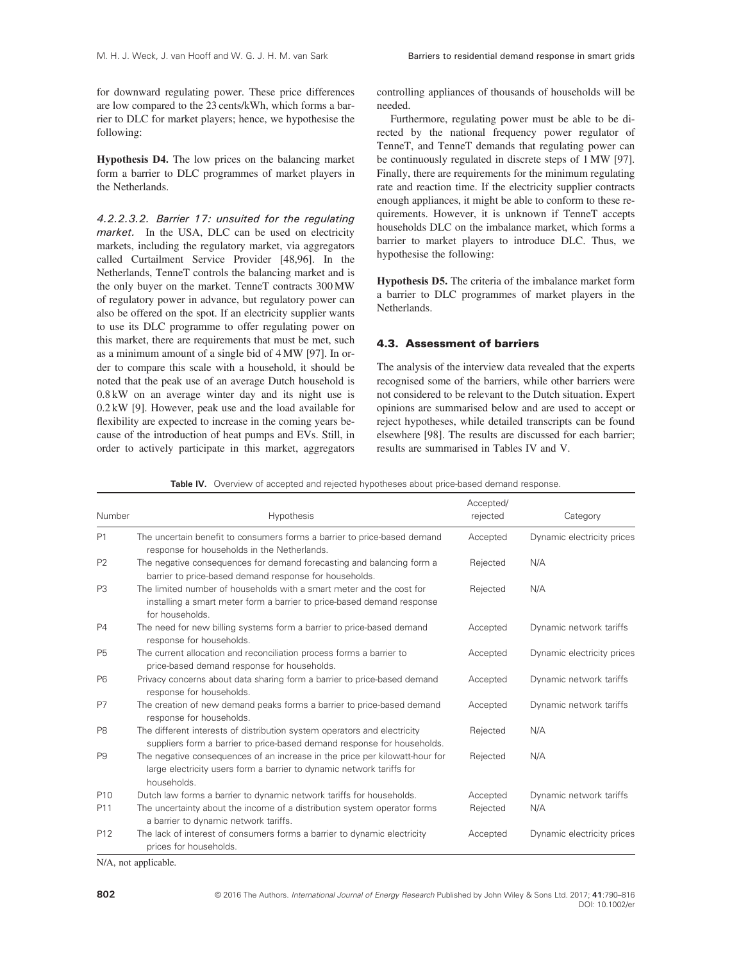for downward regulating power. These price differences are low compared to the 23 cents/kWh, which forms a barrier to DLC for market players; hence, we hypothesise the following:

Hypothesis D4. The low prices on the balancing market form a barrier to DLC programmes of market players in the Netherlands.

4.2.2.3.2. Barrier 17: unsuited for the regulating market. In the USA, DLC can be used on electricity markets, including the regulatory market, via aggregators called Curtailment Service Provider [48,96]. In the Netherlands, TenneT controls the balancing market and is the only buyer on the market. TenneT contracts 300 MW of regulatory power in advance, but regulatory power can also be offered on the spot. If an electricity supplier wants to use its DLC programme to offer regulating power on this market, there are requirements that must be met, such as a minimum amount of a single bid of 4 MW [97]. In order to compare this scale with a household, it should be noted that the peak use of an average Dutch household is 0.8 kW on an average winter day and its night use is 0.2 kW [9]. However, peak use and the load available for flexibility are expected to increase in the coming years because of the introduction of heat pumps and EVs. Still, in order to actively participate in this market, aggregators controlling appliances of thousands of households will be needed.

Furthermore, regulating power must be able to be directed by the national frequency power regulator of TenneT, and TenneT demands that regulating power can be continuously regulated in discrete steps of 1 MW [97]. Finally, there are requirements for the minimum regulating rate and reaction time. If the electricity supplier contracts enough appliances, it might be able to conform to these requirements. However, it is unknown if TenneT accepts households DLC on the imbalance market, which forms a barrier to market players to introduce DLC. Thus, we hypothesise the following:

Hypothesis D5. The criteria of the imbalance market form a barrier to DLC programmes of market players in the Netherlands.

#### 4.3. Assessment of barriers

The analysis of the interview data revealed that the experts recognised some of the barriers, while other barriers were not considered to be relevant to the Dutch situation. Expert opinions are summarised below and are used to accept or reject hypotheses, while detailed transcripts can be found elsewhere [98]. The results are discussed for each barrier; results are summarised in Tables IV and V.

|  |  | Table IV. Overview of accepted and rejected hypotheses about price-based demand response. |  |  |  |  |  |  |
|--|--|-------------------------------------------------------------------------------------------|--|--|--|--|--|--|
|--|--|-------------------------------------------------------------------------------------------|--|--|--|--|--|--|

| Number          | <b>Hypothesis</b>                                                                                                                                                   | Accepted/<br>rejected | Category                   |
|-----------------|---------------------------------------------------------------------------------------------------------------------------------------------------------------------|-----------------------|----------------------------|
| P1              | The uncertain benefit to consumers forms a barrier to price-based demand<br>response for households in the Netherlands.                                             | Accepted              | Dynamic electricity prices |
| P <sub>2</sub>  | The negative consequences for demand forecasting and balancing form a<br>barrier to price-based demand response for households.                                     | Rejected              | N/A                        |
| P <sub>3</sub>  | The limited number of households with a smart meter and the cost for<br>installing a smart meter form a barrier to price-based demand response<br>for households.   | Rejected              | N/A                        |
| <b>P4</b>       | The need for new billing systems form a barrier to price-based demand<br>response for households.                                                                   | Accepted              | Dynamic network tariffs    |
| <b>P5</b>       | The current allocation and reconciliation process forms a barrier to<br>price-based demand response for households.                                                 | Accepted              | Dynamic electricity prices |
| P <sub>6</sub>  | Privacy concerns about data sharing form a barrier to price-based demand<br>response for households.                                                                | Accepted              | Dynamic network tariffs    |
| P7              | The creation of new demand peaks forms a barrier to price-based demand<br>response for households.                                                                  | Accepted              | Dynamic network tariffs    |
| P <sub>8</sub>  | The different interests of distribution system operators and electricity<br>suppliers form a barrier to price-based demand response for households.                 | Rejected              | N/A                        |
| P <sub>9</sub>  | The negative consequences of an increase in the price per kilowatt-hour for<br>large electricity users form a barrier to dynamic network tariffs for<br>households. | Rejected              | N/A                        |
| P <sub>10</sub> | Dutch law forms a barrier to dynamic network tariffs for households.                                                                                                | Accepted              | Dynamic network tariffs    |
| P11             | The uncertainty about the income of a distribution system operator forms<br>a barrier to dynamic network tariffs.                                                   | Rejected              | N/A                        |
| P <sub>12</sub> | The lack of interest of consumers forms a barrier to dynamic electricity<br>prices for households.                                                                  | Accepted              | Dynamic electricity prices |

N/A, not applicable.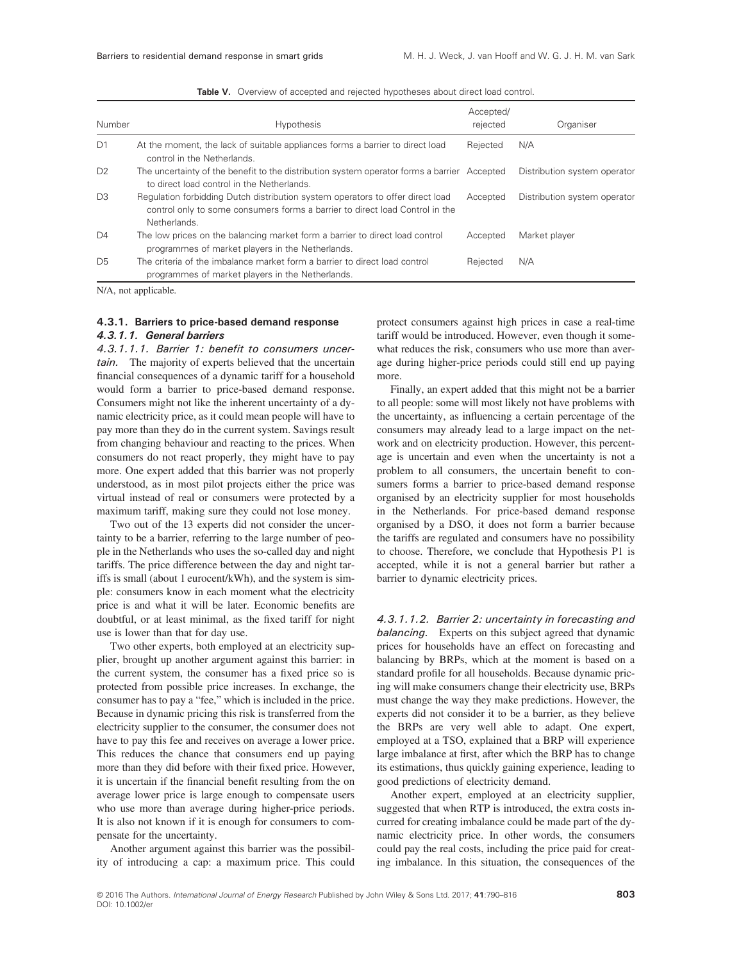| Number         | <b>Hypothesis</b>                                                                                                                                                              | Accepted/<br>rejected | Organiser                    |
|----------------|--------------------------------------------------------------------------------------------------------------------------------------------------------------------------------|-----------------------|------------------------------|
| D <sub>1</sub> | At the moment, the lack of suitable appliances forms a barrier to direct load<br>control in the Netherlands.                                                                   | Rejected              | N/A                          |
| D <sub>2</sub> | The uncertainty of the benefit to the distribution system operator forms a barrier Accepted<br>to direct load control in the Netherlands.                                      |                       | Distribution system operator |
| D <sub>3</sub> | Regulation forbidding Dutch distribution system operators to offer direct load<br>control only to some consumers forms a barrier to direct load Control in the<br>Netherlands. | Accepted              | Distribution system operator |
| D <sub>4</sub> | The low prices on the balancing market form a barrier to direct load control<br>programmes of market players in the Netherlands.                                               | Accepted              | Market player                |
| D <sub>5</sub> | The criteria of the imbalance market form a barrier to direct load control<br>programmes of market players in the Netherlands.                                                 | Rejected              | N/A                          |

Table V. Overview of accepted and rejected hypotheses about direct load control.

N/A, not applicable.

#### 4.3.1. Barriers to price-based demand response 4.3.1.1. General barriers

4.3.1.1.1. Barrier 1: benefit to consumers uncertain. The majority of experts believed that the uncertain financial consequences of a dynamic tariff for a household would form a barrier to price-based demand response. Consumers might not like the inherent uncertainty of a dynamic electricity price, as it could mean people will have to pay more than they do in the current system. Savings result from changing behaviour and reacting to the prices. When consumers do not react properly, they might have to pay more. One expert added that this barrier was not properly understood, as in most pilot projects either the price was virtual instead of real or consumers were protected by a maximum tariff, making sure they could not lose money.

Two out of the 13 experts did not consider the uncertainty to be a barrier, referring to the large number of people in the Netherlands who uses the so-called day and night tariffs. The price difference between the day and night tariffs is small (about 1 eurocent/kWh), and the system is simple: consumers know in each moment what the electricity price is and what it will be later. Economic benefits are doubtful, or at least minimal, as the fixed tariff for night use is lower than that for day use.

Two other experts, both employed at an electricity supplier, brought up another argument against this barrier: in the current system, the consumer has a fixed price so is protected from possible price increases. In exchange, the consumer has to pay a "fee," which is included in the price. Because in dynamic pricing this risk is transferred from the electricity supplier to the consumer, the consumer does not have to pay this fee and receives on average a lower price. This reduces the chance that consumers end up paying more than they did before with their fixed price. However, it is uncertain if the financial benefit resulting from the on average lower price is large enough to compensate users who use more than average during higher-price periods. It is also not known if it is enough for consumers to compensate for the uncertainty.

Another argument against this barrier was the possibility of introducing a cap: a maximum price. This could

protect consumers against high prices in case a real-time tariff would be introduced. However, even though it somewhat reduces the risk, consumers who use more than average during higher-price periods could still end up paying more.

Finally, an expert added that this might not be a barrier to all people: some will most likely not have problems with the uncertainty, as influencing a certain percentage of the consumers may already lead to a large impact on the network and on electricity production. However, this percentage is uncertain and even when the uncertainty is not a problem to all consumers, the uncertain benefit to consumers forms a barrier to price-based demand response organised by an electricity supplier for most households in the Netherlands. For price-based demand response organised by a DSO, it does not form a barrier because the tariffs are regulated and consumers have no possibility to choose. Therefore, we conclude that Hypothesis P1 is accepted, while it is not a general barrier but rather a barrier to dynamic electricity prices.

4.3.1.1.2. Barrier 2: uncertainty in forecasting and balancing. Experts on this subject agreed that dynamic prices for households have an effect on forecasting and balancing by BRPs, which at the moment is based on a standard profile for all households. Because dynamic pricing will make consumers change their electricity use, BRPs must change the way they make predictions. However, the experts did not consider it to be a barrier, as they believe the BRPs are very well able to adapt. One expert, employed at a TSO, explained that a BRP will experience large imbalance at first, after which the BRP has to change its estimations, thus quickly gaining experience, leading to good predictions of electricity demand.

Another expert, employed at an electricity supplier, suggested that when RTP is introduced, the extra costs incurred for creating imbalance could be made part of the dynamic electricity price. In other words, the consumers could pay the real costs, including the price paid for creating imbalance. In this situation, the consequences of the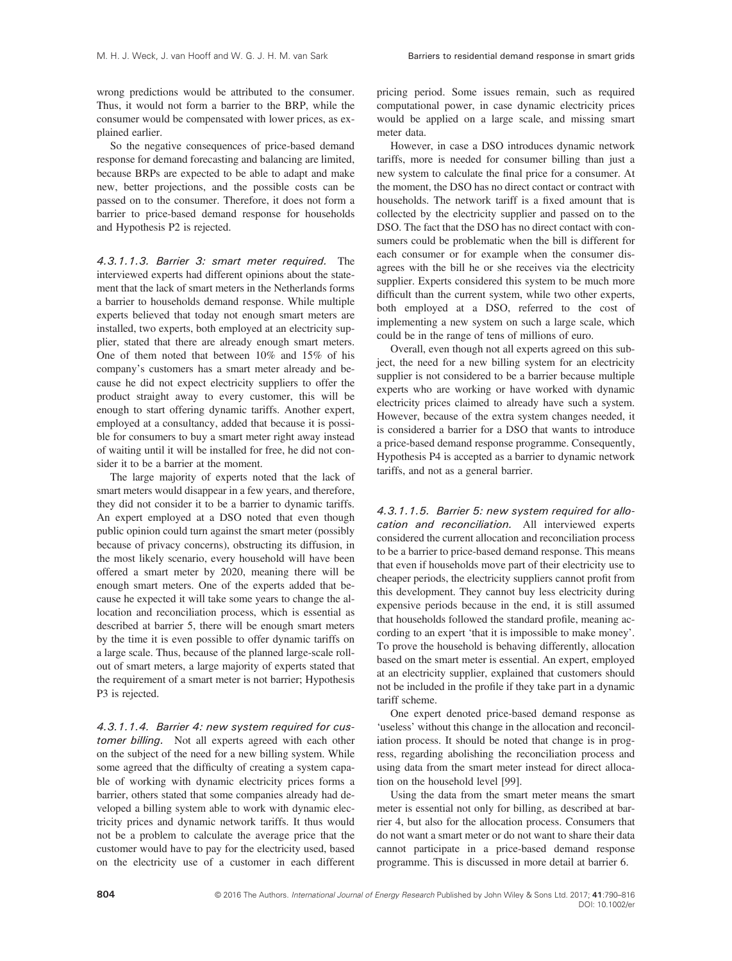wrong predictions would be attributed to the consumer. Thus, it would not form a barrier to the BRP, while the consumer would be compensated with lower prices, as explained earlier.

So the negative consequences of price-based demand response for demand forecasting and balancing are limited, because BRPs are expected to be able to adapt and make new, better projections, and the possible costs can be passed on to the consumer. Therefore, it does not form a barrier to price-based demand response for households and Hypothesis P2 is rejected.

4.3.1.1.3. Barrier 3: smart meter required. The interviewed experts had different opinions about the statement that the lack of smart meters in the Netherlands forms a barrier to households demand response. While multiple experts believed that today not enough smart meters are installed, two experts, both employed at an electricity supplier, stated that there are already enough smart meters. One of them noted that between 10% and 15% of his company's customers has a smart meter already and because he did not expect electricity suppliers to offer the product straight away to every customer, this will be enough to start offering dynamic tariffs. Another expert, employed at a consultancy, added that because it is possible for consumers to buy a smart meter right away instead of waiting until it will be installed for free, he did not consider it to be a barrier at the moment.

The large majority of experts noted that the lack of smart meters would disappear in a few years, and therefore, they did not consider it to be a barrier to dynamic tariffs. An expert employed at a DSO noted that even though public opinion could turn against the smart meter (possibly because of privacy concerns), obstructing its diffusion, in the most likely scenario, every household will have been offered a smart meter by 2020, meaning there will be enough smart meters. One of the experts added that because he expected it will take some years to change the allocation and reconciliation process, which is essential as described at barrier 5, there will be enough smart meters by the time it is even possible to offer dynamic tariffs on a large scale. Thus, because of the planned large-scale rollout of smart meters, a large majority of experts stated that the requirement of a smart meter is not barrier; Hypothesis P3 is rejected.

4.3.1.1.4. Barrier 4: new system required for customer billing. Not all experts agreed with each other on the subject of the need for a new billing system. While some agreed that the difficulty of creating a system capable of working with dynamic electricity prices forms a barrier, others stated that some companies already had developed a billing system able to work with dynamic electricity prices and dynamic network tariffs. It thus would not be a problem to calculate the average price that the customer would have to pay for the electricity used, based on the electricity use of a customer in each different

pricing period. Some issues remain, such as required computational power, in case dynamic electricity prices would be applied on a large scale, and missing smart meter data.

However, in case a DSO introduces dynamic network tariffs, more is needed for consumer billing than just a new system to calculate the final price for a consumer. At the moment, the DSO has no direct contact or contract with households. The network tariff is a fixed amount that is collected by the electricity supplier and passed on to the DSO. The fact that the DSO has no direct contact with consumers could be problematic when the bill is different for each consumer or for example when the consumer disagrees with the bill he or she receives via the electricity supplier. Experts considered this system to be much more difficult than the current system, while two other experts, both employed at a DSO, referred to the cost of implementing a new system on such a large scale, which could be in the range of tens of millions of euro.

Overall, even though not all experts agreed on this subject, the need for a new billing system for an electricity supplier is not considered to be a barrier because multiple experts who are working or have worked with dynamic electricity prices claimed to already have such a system. However, because of the extra system changes needed, it is considered a barrier for a DSO that wants to introduce a price-based demand response programme. Consequently, Hypothesis P4 is accepted as a barrier to dynamic network tariffs, and not as a general barrier.

4.3.1.1.5. Barrier 5: new system required for allocation and reconciliation. All interviewed experts considered the current allocation and reconciliation process to be a barrier to price-based demand response. This means that even if households move part of their electricity use to cheaper periods, the electricity suppliers cannot profit from this development. They cannot buy less electricity during expensive periods because in the end, it is still assumed that households followed the standard profile, meaning according to an expert 'that it is impossible to make money'. To prove the household is behaving differently, allocation based on the smart meter is essential. An expert, employed at an electricity supplier, explained that customers should not be included in the profile if they take part in a dynamic tariff scheme.

One expert denoted price-based demand response as 'useless' without this change in the allocation and reconciliation process. It should be noted that change is in progress, regarding abolishing the reconciliation process and using data from the smart meter instead for direct allocation on the household level [99].

Using the data from the smart meter means the smart meter is essential not only for billing, as described at barrier 4, but also for the allocation process. Consumers that do not want a smart meter or do not want to share their data cannot participate in a price-based demand response programme. This is discussed in more detail at barrier 6.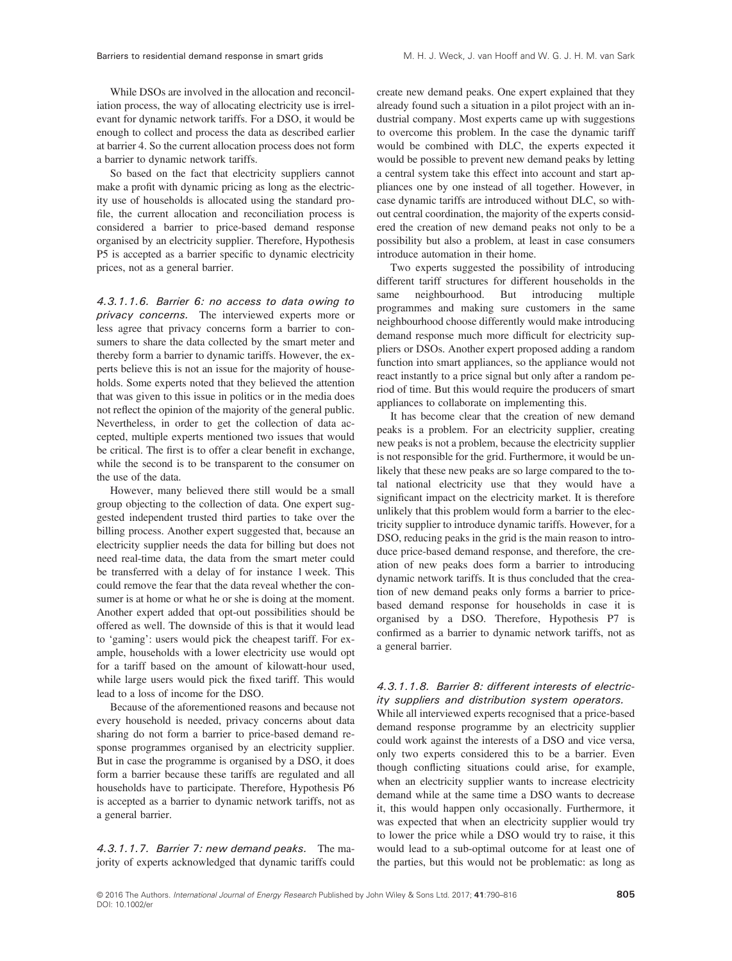While DSOs are involved in the allocation and reconciliation process, the way of allocating electricity use is irrelevant for dynamic network tariffs. For a DSO, it would be enough to collect and process the data as described earlier at barrier 4. So the current allocation process does not form a barrier to dynamic network tariffs.

So based on the fact that electricity suppliers cannot make a profit with dynamic pricing as long as the electricity use of households is allocated using the standard profile, the current allocation and reconciliation process is considered a barrier to price-based demand response organised by an electricity supplier. Therefore, Hypothesis P5 is accepted as a barrier specific to dynamic electricity prices, not as a general barrier.

4.3.1.1.6. Barrier 6: no access to data owing to privacy concerns. The interviewed experts more or less agree that privacy concerns form a barrier to consumers to share the data collected by the smart meter and thereby form a barrier to dynamic tariffs. However, the experts believe this is not an issue for the majority of households. Some experts noted that they believed the attention that was given to this issue in politics or in the media does not reflect the opinion of the majority of the general public. Nevertheless, in order to get the collection of data accepted, multiple experts mentioned two issues that would be critical. The first is to offer a clear benefit in exchange, while the second is to be transparent to the consumer on the use of the data.

However, many believed there still would be a small group objecting to the collection of data. One expert suggested independent trusted third parties to take over the billing process. Another expert suggested that, because an electricity supplier needs the data for billing but does not need real-time data, the data from the smart meter could be transferred with a delay of for instance 1 week. This could remove the fear that the data reveal whether the consumer is at home or what he or she is doing at the moment. Another expert added that opt-out possibilities should be offered as well. The downside of this is that it would lead to 'gaming': users would pick the cheapest tariff. For example, households with a lower electricity use would opt for a tariff based on the amount of kilowatt-hour used, while large users would pick the fixed tariff. This would lead to a loss of income for the DSO.

Because of the aforementioned reasons and because not every household is needed, privacy concerns about data sharing do not form a barrier to price-based demand response programmes organised by an electricity supplier. But in case the programme is organised by a DSO, it does form a barrier because these tariffs are regulated and all households have to participate. Therefore, Hypothesis P6 is accepted as a barrier to dynamic network tariffs, not as a general barrier.

4.3.1.1.7. Barrier 7: new demand peaks. The majority of experts acknowledged that dynamic tariffs could create new demand peaks. One expert explained that they already found such a situation in a pilot project with an industrial company. Most experts came up with suggestions to overcome this problem. In the case the dynamic tariff would be combined with DLC, the experts expected it would be possible to prevent new demand peaks by letting a central system take this effect into account and start appliances one by one instead of all together. However, in case dynamic tariffs are introduced without DLC, so without central coordination, the majority of the experts considered the creation of new demand peaks not only to be a possibility but also a problem, at least in case consumers introduce automation in their home.

Two experts suggested the possibility of introducing different tariff structures for different households in the same neighbourhood. But introducing multiple programmes and making sure customers in the same neighbourhood choose differently would make introducing demand response much more difficult for electricity suppliers or DSOs. Another expert proposed adding a random function into smart appliances, so the appliance would not react instantly to a price signal but only after a random period of time. But this would require the producers of smart appliances to collaborate on implementing this.

It has become clear that the creation of new demand peaks is a problem. For an electricity supplier, creating new peaks is not a problem, because the electricity supplier is not responsible for the grid. Furthermore, it would be unlikely that these new peaks are so large compared to the total national electricity use that they would have a significant impact on the electricity market. It is therefore unlikely that this problem would form a barrier to the electricity supplier to introduce dynamic tariffs. However, for a DSO, reducing peaks in the grid is the main reason to introduce price-based demand response, and therefore, the creation of new peaks does form a barrier to introducing dynamic network tariffs. It is thus concluded that the creation of new demand peaks only forms a barrier to pricebased demand response for households in case it is organised by a DSO. Therefore, Hypothesis P7 is confirmed as a barrier to dynamic network tariffs, not as a general barrier.

#### 4.3.1.1.8. Barrier 8: different interests of electricity suppliers and distribution system operators.

While all interviewed experts recognised that a price-based demand response programme by an electricity supplier could work against the interests of a DSO and vice versa, only two experts considered this to be a barrier. Even though conflicting situations could arise, for example, when an electricity supplier wants to increase electricity demand while at the same time a DSO wants to decrease it, this would happen only occasionally. Furthermore, it was expected that when an electricity supplier would try to lower the price while a DSO would try to raise, it this would lead to a sub-optimal outcome for at least one of the parties, but this would not be problematic: as long as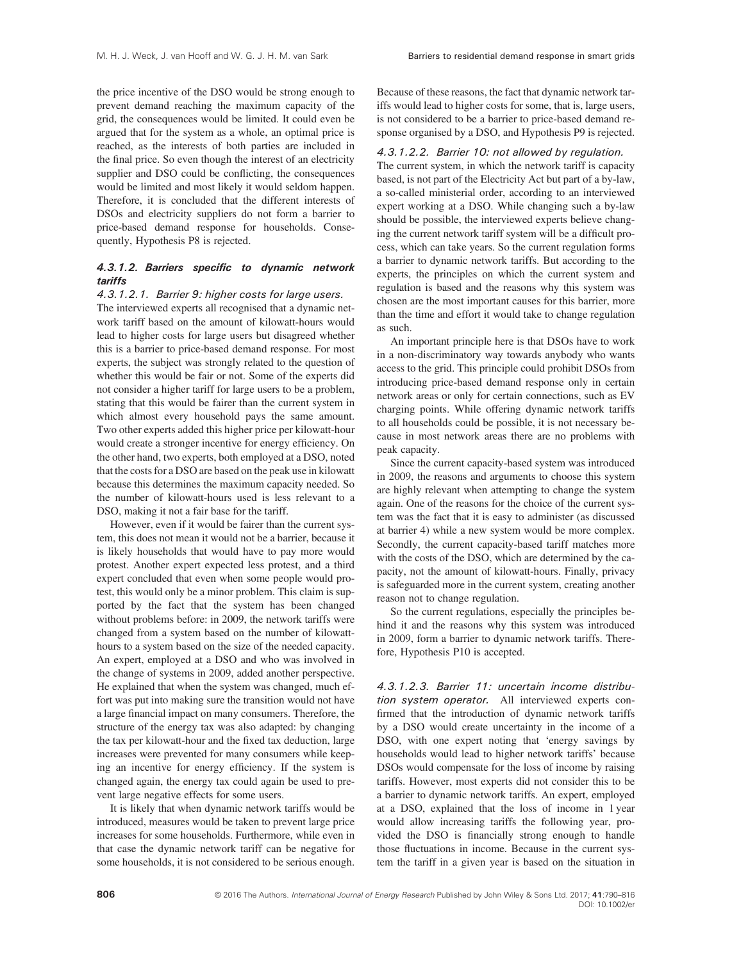the price incentive of the DSO would be strong enough to prevent demand reaching the maximum capacity of the grid, the consequences would be limited. It could even be argued that for the system as a whole, an optimal price is reached, as the interests of both parties are included in the final price. So even though the interest of an electricity supplier and DSO could be conflicting, the consequences would be limited and most likely it would seldom happen. Therefore, it is concluded that the different interests of DSOs and electricity suppliers do not form a barrier to price-based demand response for households. Consequently, Hypothesis P8 is rejected.

#### 4.3.1.2. Barriers specific to dynamic network tariffs

#### 4.3.1.2.1. Barrier 9: higher costs for large users.

The interviewed experts all recognised that a dynamic network tariff based on the amount of kilowatt-hours would lead to higher costs for large users but disagreed whether this is a barrier to price-based demand response. For most experts, the subject was strongly related to the question of whether this would be fair or not. Some of the experts did not consider a higher tariff for large users to be a problem, stating that this would be fairer than the current system in which almost every household pays the same amount. Two other experts added this higher price per kilowatt-hour would create a stronger incentive for energy efficiency. On the other hand, two experts, both employed at a DSO, noted that the costs for a DSO are based on the peak use in kilowatt because this determines the maximum capacity needed. So the number of kilowatt-hours used is less relevant to a DSO, making it not a fair base for the tariff.

However, even if it would be fairer than the current system, this does not mean it would not be a barrier, because it is likely households that would have to pay more would protest. Another expert expected less protest, and a third expert concluded that even when some people would protest, this would only be a minor problem. This claim is supported by the fact that the system has been changed without problems before: in 2009, the network tariffs were changed from a system based on the number of kilowatthours to a system based on the size of the needed capacity. An expert, employed at a DSO and who was involved in the change of systems in 2009, added another perspective. He explained that when the system was changed, much effort was put into making sure the transition would not have a large financial impact on many consumers. Therefore, the structure of the energy tax was also adapted: by changing the tax per kilowatt-hour and the fixed tax deduction, large increases were prevented for many consumers while keeping an incentive for energy efficiency. If the system is changed again, the energy tax could again be used to prevent large negative effects for some users.

It is likely that when dynamic network tariffs would be introduced, measures would be taken to prevent large price increases for some households. Furthermore, while even in that case the dynamic network tariff can be negative for some households, it is not considered to be serious enough.

Because of these reasons, the fact that dynamic network tariffs would lead to higher costs for some, that is, large users, is not considered to be a barrier to price-based demand response organised by a DSO, and Hypothesis P9 is rejected.

#### 4.3.1.2.2. Barrier 10: not allowed by regulation.

The current system, in which the network tariff is capacity based, is not part of the Electricity Act but part of a by-law, a so-called ministerial order, according to an interviewed expert working at a DSO. While changing such a by-law should be possible, the interviewed experts believe changing the current network tariff system will be a difficult process, which can take years. So the current regulation forms a barrier to dynamic network tariffs. But according to the experts, the principles on which the current system and regulation is based and the reasons why this system was chosen are the most important causes for this barrier, more than the time and effort it would take to change regulation as such.

An important principle here is that DSOs have to work in a non-discriminatory way towards anybody who wants access to the grid. This principle could prohibit DSOs from introducing price-based demand response only in certain network areas or only for certain connections, such as EV charging points. While offering dynamic network tariffs to all households could be possible, it is not necessary because in most network areas there are no problems with peak capacity.

Since the current capacity-based system was introduced in 2009, the reasons and arguments to choose this system are highly relevant when attempting to change the system again. One of the reasons for the choice of the current system was the fact that it is easy to administer (as discussed at barrier 4) while a new system would be more complex. Secondly, the current capacity-based tariff matches more with the costs of the DSO, which are determined by the capacity, not the amount of kilowatt-hours. Finally, privacy is safeguarded more in the current system, creating another reason not to change regulation.

So the current regulations, especially the principles behind it and the reasons why this system was introduced in 2009, form a barrier to dynamic network tariffs. Therefore, Hypothesis P10 is accepted.

4.3.1.2.3. Barrier 11: uncertain income distribution system operator. All interviewed experts confirmed that the introduction of dynamic network tariffs by a DSO would create uncertainty in the income of a DSO, with one expert noting that 'energy savings by households would lead to higher network tariffs' because DSOs would compensate for the loss of income by raising tariffs. However, most experts did not consider this to be a barrier to dynamic network tariffs. An expert, employed at a DSO, explained that the loss of income in 1 year would allow increasing tariffs the following year, provided the DSO is financially strong enough to handle those fluctuations in income. Because in the current system the tariff in a given year is based on the situation in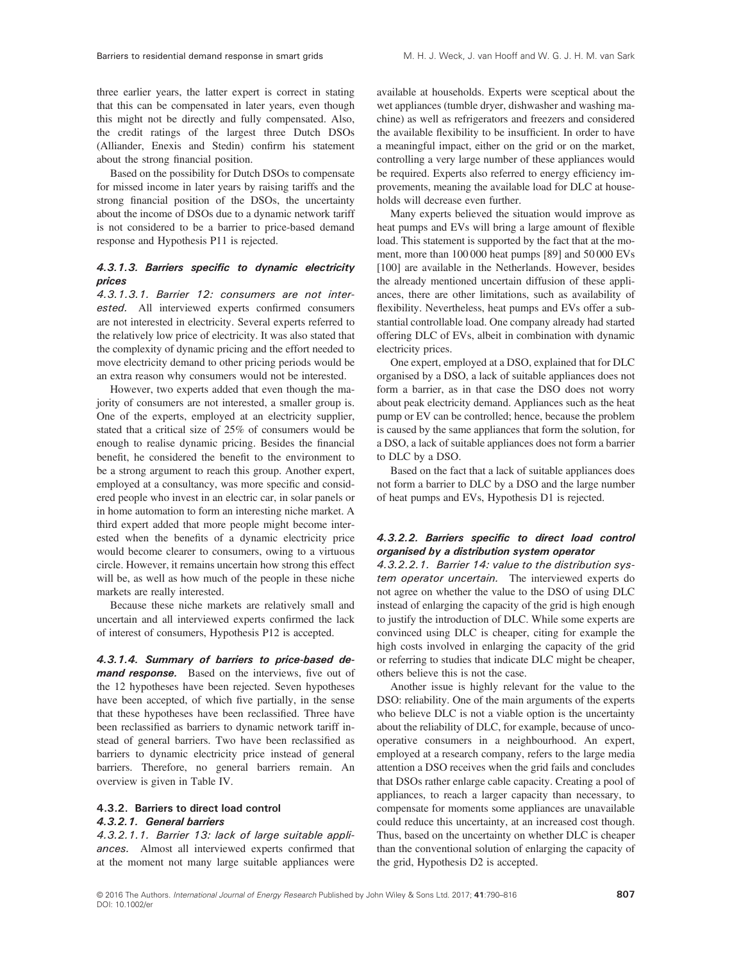three earlier years, the latter expert is correct in stating that this can be compensated in later years, even though this might not be directly and fully compensated. Also, the credit ratings of the largest three Dutch DSOs (Alliander, Enexis and Stedin) confirm his statement about the strong financial position.

Based on the possibility for Dutch DSOs to compensate for missed income in later years by raising tariffs and the strong financial position of the DSOs, the uncertainty about the income of DSOs due to a dynamic network tariff is not considered to be a barrier to price-based demand response and Hypothesis P11 is rejected.

#### 4.3.1.3. Barriers specific to dynamic electricity prices

4.3.1.3.1. Barrier 12: consumers are not interested. All interviewed experts confirmed consumers are not interested in electricity. Several experts referred to the relatively low price of electricity. It was also stated that the complexity of dynamic pricing and the effort needed to move electricity demand to other pricing periods would be an extra reason why consumers would not be interested.

However, two experts added that even though the majority of consumers are not interested, a smaller group is. One of the experts, employed at an electricity supplier, stated that a critical size of 25% of consumers would be enough to realise dynamic pricing. Besides the financial benefit, he considered the benefit to the environment to be a strong argument to reach this group. Another expert, employed at a consultancy, was more specific and considered people who invest in an electric car, in solar panels or in home automation to form an interesting niche market. A third expert added that more people might become interested when the benefits of a dynamic electricity price would become clearer to consumers, owing to a virtuous circle. However, it remains uncertain how strong this effect will be, as well as how much of the people in these niche markets are really interested.

Because these niche markets are relatively small and uncertain and all interviewed experts confirmed the lack of interest of consumers, Hypothesis P12 is accepted.

4.3.1.4. Summary of barriers to price-based demand response. Based on the interviews, five out of the 12 hypotheses have been rejected. Seven hypotheses have been accepted, of which five partially, in the sense that these hypotheses have been reclassified. Three have been reclassified as barriers to dynamic network tariff instead of general barriers. Two have been reclassified as barriers to dynamic electricity price instead of general barriers. Therefore, no general barriers remain. An overview is given in Table IV.

## 4.3.2. Barriers to direct load control

#### 4.3.2.1. General barriers

4.3.2.1.1. Barrier 13: lack of large suitable appliances. Almost all interviewed experts confirmed that at the moment not many large suitable appliances were available at households. Experts were sceptical about the wet appliances (tumble dryer, dishwasher and washing machine) as well as refrigerators and freezers and considered the available flexibility to be insufficient. In order to have a meaningful impact, either on the grid or on the market, controlling a very large number of these appliances would be required. Experts also referred to energy efficiency improvements, meaning the available load for DLC at households will decrease even further.

Many experts believed the situation would improve as heat pumps and EVs will bring a large amount of flexible load. This statement is supported by the fact that at the moment, more than 100 000 heat pumps [89] and 50 000 EVs [100] are available in the Netherlands. However, besides the already mentioned uncertain diffusion of these appliances, there are other limitations, such as availability of flexibility. Nevertheless, heat pumps and EVs offer a substantial controllable load. One company already had started offering DLC of EVs, albeit in combination with dynamic electricity prices.

One expert, employed at a DSO, explained that for DLC organised by a DSO, a lack of suitable appliances does not form a barrier, as in that case the DSO does not worry about peak electricity demand. Appliances such as the heat pump or EV can be controlled; hence, because the problem is caused by the same appliances that form the solution, for a DSO, a lack of suitable appliances does not form a barrier to DLC by a DSO.

Based on the fact that a lack of suitable appliances does not form a barrier to DLC by a DSO and the large number of heat pumps and EVs, Hypothesis D1 is rejected.

#### 4.3.2.2. Barriers specific to direct load control organised by a distribution system operator

4.3.2.2.1. Barrier 14: value to the distribution system operator uncertain. The interviewed experts do not agree on whether the value to the DSO of using DLC instead of enlarging the capacity of the grid is high enough to justify the introduction of DLC. While some experts are convinced using DLC is cheaper, citing for example the high costs involved in enlarging the capacity of the grid or referring to studies that indicate DLC might be cheaper, others believe this is not the case.

Another issue is highly relevant for the value to the DSO: reliability. One of the main arguments of the experts who believe DLC is not a viable option is the uncertainty about the reliability of DLC, for example, because of uncooperative consumers in a neighbourhood. An expert, employed at a research company, refers to the large media attention a DSO receives when the grid fails and concludes that DSOs rather enlarge cable capacity. Creating a pool of appliances, to reach a larger capacity than necessary, to compensate for moments some appliances are unavailable could reduce this uncertainty, at an increased cost though. Thus, based on the uncertainty on whether DLC is cheaper than the conventional solution of enlarging the capacity of the grid, Hypothesis D2 is accepted.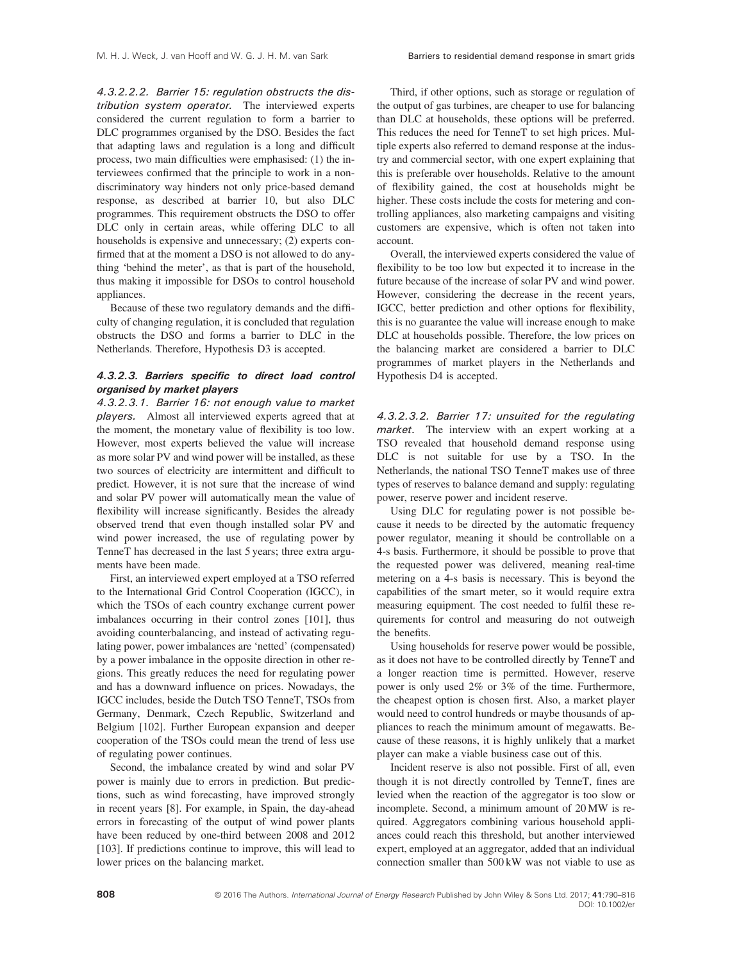4.3.2.2.2. Barrier 15: regulation obstructs the distribution system operator. The interviewed experts considered the current regulation to form a barrier to DLC programmes organised by the DSO. Besides the fact that adapting laws and regulation is a long and difficult process, two main difficulties were emphasised: (1) the interviewees confirmed that the principle to work in a nondiscriminatory way hinders not only price-based demand response, as described at barrier 10, but also DLC programmes. This requirement obstructs the DSO to offer DLC only in certain areas, while offering DLC to all households is expensive and unnecessary; (2) experts confirmed that at the moment a DSO is not allowed to do anything 'behind the meter', as that is part of the household, thus making it impossible for DSOs to control household appliances.

Because of these two regulatory demands and the difficulty of changing regulation, it is concluded that regulation obstructs the DSO and forms a barrier to DLC in the Netherlands. Therefore, Hypothesis D3 is accepted.

#### 4.3.2.3. Barriers specific to direct load control organised by market players

4.3.2.3.1. Barrier 16: not enough value to market players. Almost all interviewed experts agreed that at the moment, the monetary value of flexibility is too low. However, most experts believed the value will increase as more solar PV and wind power will be installed, as these two sources of electricity are intermittent and difficult to predict. However, it is not sure that the increase of wind and solar PV power will automatically mean the value of flexibility will increase significantly. Besides the already observed trend that even though installed solar PV and wind power increased, the use of regulating power by TenneT has decreased in the last 5 years; three extra arguments have been made.

First, an interviewed expert employed at a TSO referred to the International Grid Control Cooperation (IGCC), in which the TSOs of each country exchange current power imbalances occurring in their control zones [101], thus avoiding counterbalancing, and instead of activating regulating power, power imbalances are 'netted' (compensated) by a power imbalance in the opposite direction in other regions. This greatly reduces the need for regulating power and has a downward influence on prices. Nowadays, the IGCC includes, beside the Dutch TSO TenneT, TSOs from Germany, Denmark, Czech Republic, Switzerland and Belgium [102]. Further European expansion and deeper cooperation of the TSOs could mean the trend of less use of regulating power continues.

Second, the imbalance created by wind and solar PV power is mainly due to errors in prediction. But predictions, such as wind forecasting, have improved strongly in recent years [8]. For example, in Spain, the day-ahead errors in forecasting of the output of wind power plants have been reduced by one-third between 2008 and 2012 [103]. If predictions continue to improve, this will lead to lower prices on the balancing market.

Third, if other options, such as storage or regulation of the output of gas turbines, are cheaper to use for balancing than DLC at households, these options will be preferred. This reduces the need for TenneT to set high prices. Multiple experts also referred to demand response at the industry and commercial sector, with one expert explaining that this is preferable over households. Relative to the amount of flexibility gained, the cost at households might be higher. These costs include the costs for metering and controlling appliances, also marketing campaigns and visiting customers are expensive, which is often not taken into account.

Overall, the interviewed experts considered the value of flexibility to be too low but expected it to increase in the future because of the increase of solar PV and wind power. However, considering the decrease in the recent years, IGCC, better prediction and other options for flexibility, this is no guarantee the value will increase enough to make DLC at households possible. Therefore, the low prices on the balancing market are considered a barrier to DLC programmes of market players in the Netherlands and Hypothesis D4 is accepted.

4.3.2.3.2. Barrier 17: unsuited for the regulating market. The interview with an expert working at a TSO revealed that household demand response using DLC is not suitable for use by a TSO. In the Netherlands, the national TSO TenneT makes use of three types of reserves to balance demand and supply: regulating power, reserve power and incident reserve.

Using DLC for regulating power is not possible because it needs to be directed by the automatic frequency power regulator, meaning it should be controllable on a 4-s basis. Furthermore, it should be possible to prove that the requested power was delivered, meaning real-time metering on a 4-s basis is necessary. This is beyond the capabilities of the smart meter, so it would require extra measuring equipment. The cost needed to fulfil these requirements for control and measuring do not outweigh the benefits.

Using households for reserve power would be possible, as it does not have to be controlled directly by TenneT and a longer reaction time is permitted. However, reserve power is only used 2% or 3% of the time. Furthermore, the cheapest option is chosen first. Also, a market player would need to control hundreds or maybe thousands of appliances to reach the minimum amount of megawatts. Because of these reasons, it is highly unlikely that a market player can make a viable business case out of this.

Incident reserve is also not possible. First of all, even though it is not directly controlled by TenneT, fines are levied when the reaction of the aggregator is too slow or incomplete. Second, a minimum amount of 20 MW is required. Aggregators combining various household appliances could reach this threshold, but another interviewed expert, employed at an aggregator, added that an individual connection smaller than 500 kW was not viable to use as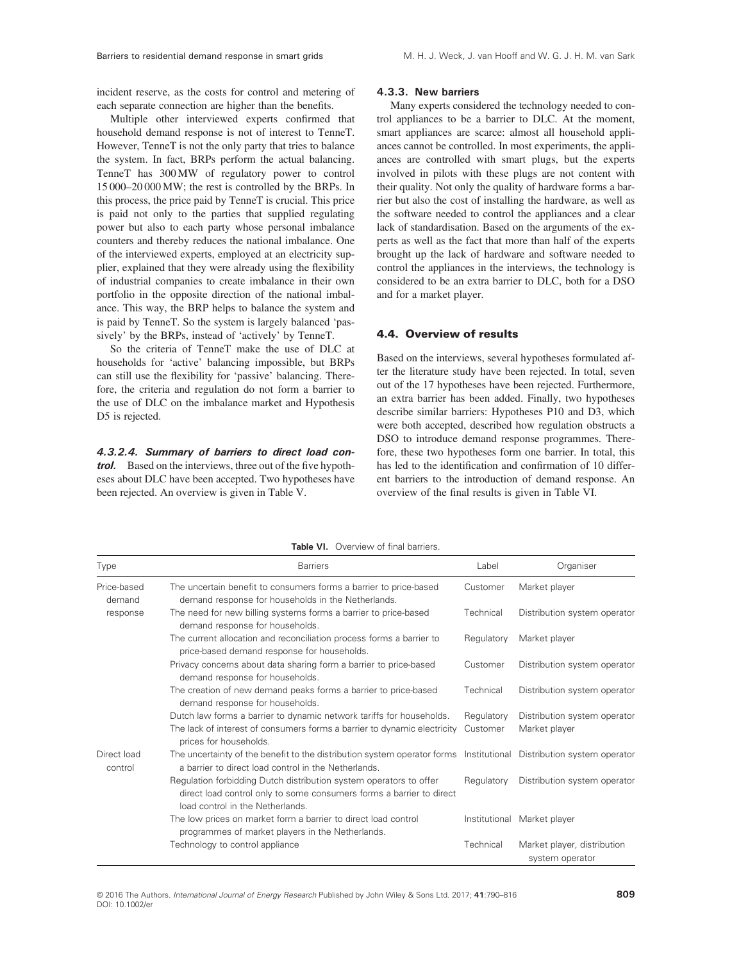incident reserve, as the costs for control and metering of each separate connection are higher than the benefits.

Multiple other interviewed experts confirmed that household demand response is not of interest to TenneT. However, TenneT is not the only party that tries to balance the system. In fact, BRPs perform the actual balancing. TenneT has 300 MW of regulatory power to control 15 000–20 000 MW; the rest is controlled by the BRPs. In this process, the price paid by TenneT is crucial. This price is paid not only to the parties that supplied regulating power but also to each party whose personal imbalance counters and thereby reduces the national imbalance. One of the interviewed experts, employed at an electricity supplier, explained that they were already using the flexibility of industrial companies to create imbalance in their own portfolio in the opposite direction of the national imbalance. This way, the BRP helps to balance the system and is paid by TenneT. So the system is largely balanced 'passively' by the BRPs, instead of 'actively' by TenneT.

So the criteria of TenneT make the use of DLC at households for 'active' balancing impossible, but BRPs can still use the flexibility for 'passive' balancing. Therefore, the criteria and regulation do not form a barrier to the use of DLC on the imbalance market and Hypothesis D5 is rejected.

4.3.2.4. Summary of barriers to direct load control. Based on the interviews, three out of the five hypotheses about DLC have been accepted. Two hypotheses have been rejected. An overview is given in Table V.

#### 4.3.3. New barriers

Many experts considered the technology needed to control appliances to be a barrier to DLC. At the moment, smart appliances are scarce: almost all household appliances cannot be controlled. In most experiments, the appliances are controlled with smart plugs, but the experts involved in pilots with these plugs are not content with their quality. Not only the quality of hardware forms a barrier but also the cost of installing the hardware, as well as the software needed to control the appliances and a clear lack of standardisation. Based on the arguments of the experts as well as the fact that more than half of the experts brought up the lack of hardware and software needed to control the appliances in the interviews, the technology is considered to be an extra barrier to DLC, both for a DSO and for a market player.

#### 4.4. Overview of results

Based on the interviews, several hypotheses formulated after the literature study have been rejected. In total, seven out of the 17 hypotheses have been rejected. Furthermore, an extra barrier has been added. Finally, two hypotheses describe similar barriers: Hypotheses P10 and D3, which were both accepted, described how regulation obstructs a DSO to introduce demand response programmes. Therefore, these two hypotheses form one barrier. In total, this has led to the identification and confirmation of 10 different barriers to the introduction of demand response. An overview of the final results is given in Table VI.

| Type                   | <b>Barriers</b>                                                                                                                                                                | Label                  | Organiser                                      |
|------------------------|--------------------------------------------------------------------------------------------------------------------------------------------------------------------------------|------------------------|------------------------------------------------|
| Price-based<br>demand  | The uncertain benefit to consumers forms a barrier to price-based<br>demand response for households in the Netherlands.                                                        | Customer               | Market player                                  |
| response               | The need for new billing systems forms a barrier to price-based<br>demand response for households.                                                                             | Technical              | Distribution system operator                   |
|                        | The current allocation and reconciliation process forms a barrier to<br>price-based demand response for households.                                                            | Regulatory             | Market player                                  |
|                        | Privacy concerns about data sharing form a barrier to price-based<br>demand response for households.                                                                           | Customer               | Distribution system operator                   |
|                        | The creation of new demand peaks forms a barrier to price-based<br>demand response for households.                                                                             | Technical              | Distribution system operator                   |
|                        | Dutch law forms a barrier to dynamic network tariffs for households.<br>The lack of interest of consumers forms a barrier to dynamic electricity<br>prices for households.     | Regulatory<br>Customer | Distribution system operator<br>Market player  |
| Direct load<br>control | The uncertainty of the benefit to the distribution system operator forms Institutional Distribution system operator<br>a barrier to direct load control in the Netherlands.    |                        |                                                |
|                        | Regulation forbidding Dutch distribution system operators to offer<br>direct load control only to some consumers forms a barrier to direct<br>load control in the Netherlands. | Regulatory             | Distribution system operator                   |
|                        | The low prices on market form a barrier to direct load control<br>programmes of market players in the Netherlands.                                                             | Institutional          | Market player                                  |
|                        | Technology to control appliance                                                                                                                                                | Technical              | Market player, distribution<br>system operator |

Table VI. Overview of final barriers.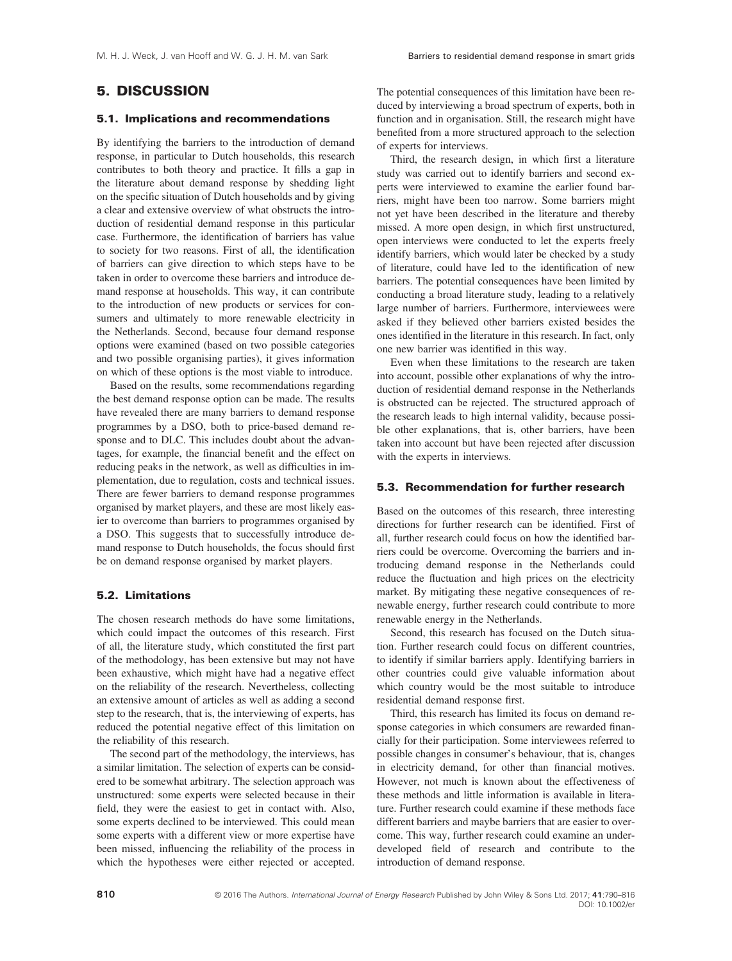## 5. DISCUSSION

#### 5.1. Implications and recommendations

By identifying the barriers to the introduction of demand response, in particular to Dutch households, this research contributes to both theory and practice. It fills a gap in the literature about demand response by shedding light on the specific situation of Dutch households and by giving a clear and extensive overview of what obstructs the introduction of residential demand response in this particular case. Furthermore, the identification of barriers has value to society for two reasons. First of all, the identification of barriers can give direction to which steps have to be taken in order to overcome these barriers and introduce demand response at households. This way, it can contribute to the introduction of new products or services for consumers and ultimately to more renewable electricity in the Netherlands. Second, because four demand response options were examined (based on two possible categories and two possible organising parties), it gives information on which of these options is the most viable to introduce.

Based on the results, some recommendations regarding the best demand response option can be made. The results have revealed there are many barriers to demand response programmes by a DSO, both to price-based demand response and to DLC. This includes doubt about the advantages, for example, the financial benefit and the effect on reducing peaks in the network, as well as difficulties in implementation, due to regulation, costs and technical issues. There are fewer barriers to demand response programmes organised by market players, and these are most likely easier to overcome than barriers to programmes organised by a DSO. This suggests that to successfully introduce demand response to Dutch households, the focus should first be on demand response organised by market players.

#### 5.2. Limitations

The chosen research methods do have some limitations, which could impact the outcomes of this research. First of all, the literature study, which constituted the first part of the methodology, has been extensive but may not have been exhaustive, which might have had a negative effect on the reliability of the research. Nevertheless, collecting an extensive amount of articles as well as adding a second step to the research, that is, the interviewing of experts, has reduced the potential negative effect of this limitation on the reliability of this research.

The second part of the methodology, the interviews, has a similar limitation. The selection of experts can be considered to be somewhat arbitrary. The selection approach was unstructured: some experts were selected because in their field, they were the easiest to get in contact with. Also, some experts declined to be interviewed. This could mean some experts with a different view or more expertise have been missed, influencing the reliability of the process in which the hypotheses were either rejected or accepted.

The potential consequences of this limitation have been reduced by interviewing a broad spectrum of experts, both in function and in organisation. Still, the research might have benefited from a more structured approach to the selection of experts for interviews.

Third, the research design, in which first a literature study was carried out to identify barriers and second experts were interviewed to examine the earlier found barriers, might have been too narrow. Some barriers might not yet have been described in the literature and thereby missed. A more open design, in which first unstructured, open interviews were conducted to let the experts freely identify barriers, which would later be checked by a study of literature, could have led to the identification of new barriers. The potential consequences have been limited by conducting a broad literature study, leading to a relatively large number of barriers. Furthermore, interviewees were asked if they believed other barriers existed besides the ones identified in the literature in this research. In fact, only one new barrier was identified in this way.

Even when these limitations to the research are taken into account, possible other explanations of why the introduction of residential demand response in the Netherlands is obstructed can be rejected. The structured approach of the research leads to high internal validity, because possible other explanations, that is, other barriers, have been taken into account but have been rejected after discussion with the experts in interviews.

#### 5.3. Recommendation for further research

Based on the outcomes of this research, three interesting directions for further research can be identified. First of all, further research could focus on how the identified barriers could be overcome. Overcoming the barriers and introducing demand response in the Netherlands could reduce the fluctuation and high prices on the electricity market. By mitigating these negative consequences of renewable energy, further research could contribute to more renewable energy in the Netherlands.

Second, this research has focused on the Dutch situation. Further research could focus on different countries, to identify if similar barriers apply. Identifying barriers in other countries could give valuable information about which country would be the most suitable to introduce residential demand response first.

Third, this research has limited its focus on demand response categories in which consumers are rewarded financially for their participation. Some interviewees referred to possible changes in consumer's behaviour, that is, changes in electricity demand, for other than financial motives. However, not much is known about the effectiveness of these methods and little information is available in literature. Further research could examine if these methods face different barriers and maybe barriers that are easier to overcome. This way, further research could examine an underdeveloped field of research and contribute to the introduction of demand response.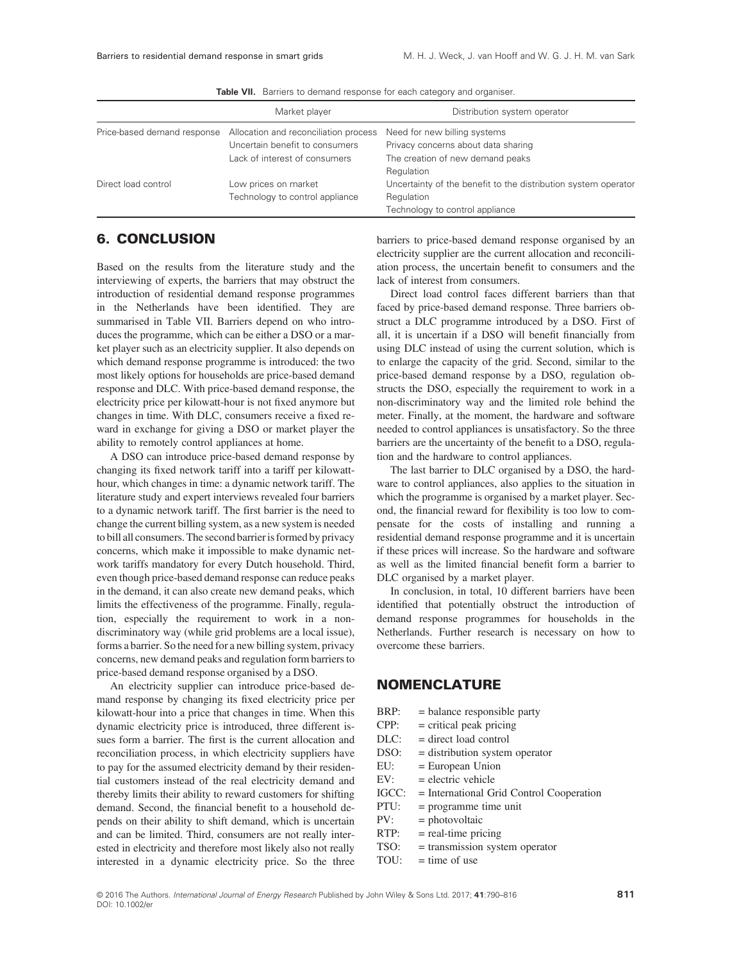|                             | Market player                         | Distribution system operator                                   |
|-----------------------------|---------------------------------------|----------------------------------------------------------------|
| Price-based demand response | Allocation and reconciliation process | Need for new billing systems                                   |
|                             | Uncertain benefit to consumers        | Privacy concerns about data sharing                            |
|                             | Lack of interest of consumers         | The creation of new demand peaks                               |
|                             |                                       | Regulation                                                     |
| Direct load control         | Low prices on market                  | Uncertainty of the benefit to the distribution system operator |
|                             | Technology to control appliance       | Regulation                                                     |
|                             |                                       | Technology to control appliance                                |

Table VII. Barriers to demand response for each category and organiser.

#### 6. CONCLUSION

Based on the results from the literature study and the interviewing of experts, the barriers that may obstruct the introduction of residential demand response programmes in the Netherlands have been identified. They are summarised in Table VII. Barriers depend on who introduces the programme, which can be either a DSO or a market player such as an electricity supplier. It also depends on which demand response programme is introduced: the two most likely options for households are price-based demand response and DLC. With price-based demand response, the electricity price per kilowatt-hour is not fixed anymore but changes in time. With DLC, consumers receive a fixed reward in exchange for giving a DSO or market player the ability to remotely control appliances at home.

A DSO can introduce price-based demand response by changing its fixed network tariff into a tariff per kilowatthour, which changes in time: a dynamic network tariff. The literature study and expert interviews revealed four barriers to a dynamic network tariff. The first barrier is the need to change the current billing system, as a new system is needed to bill all consumers. The second barrier is formed by privacy concerns, which make it impossible to make dynamic network tariffs mandatory for every Dutch household. Third, even though price-based demand response can reduce peaks in the demand, it can also create new demand peaks, which limits the effectiveness of the programme. Finally, regulation, especially the requirement to work in a nondiscriminatory way (while grid problems are a local issue), forms a barrier. So the need for a new billing system, privacy concerns, new demand peaks and regulation form barriers to price-based demand response organised by a DSO.

An electricity supplier can introduce price-based demand response by changing its fixed electricity price per kilowatt-hour into a price that changes in time. When this dynamic electricity price is introduced, three different issues form a barrier. The first is the current allocation and reconciliation process, in which electricity suppliers have to pay for the assumed electricity demand by their residential customers instead of the real electricity demand and thereby limits their ability to reward customers for shifting demand. Second, the financial benefit to a household depends on their ability to shift demand, which is uncertain and can be limited. Third, consumers are not really interested in electricity and therefore most likely also not really interested in a dynamic electricity price. So the three barriers to price-based demand response organised by an electricity supplier are the current allocation and reconciliation process, the uncertain benefit to consumers and the lack of interest from consumers.

Direct load control faces different barriers than that faced by price-based demand response. Three barriers obstruct a DLC programme introduced by a DSO. First of all, it is uncertain if a DSO will benefit financially from using DLC instead of using the current solution, which is to enlarge the capacity of the grid. Second, similar to the price-based demand response by a DSO, regulation obstructs the DSO, especially the requirement to work in a non-discriminatory way and the limited role behind the meter. Finally, at the moment, the hardware and software needed to control appliances is unsatisfactory. So the three barriers are the uncertainty of the benefit to a DSO, regulation and the hardware to control appliances.

The last barrier to DLC organised by a DSO, the hardware to control appliances, also applies to the situation in which the programme is organised by a market player. Second, the financial reward for flexibility is too low to compensate for the costs of installing and running a residential demand response programme and it is uncertain if these prices will increase. So the hardware and software as well as the limited financial benefit form a barrier to DLC organised by a market player.

In conclusion, in total, 10 different barriers have been identified that potentially obstruct the introduction of demand response programmes for households in the Netherlands. Further research is necessary on how to overcome these barriers.

### NOMENCLATURE

- BRP: = balance responsible party
- $CPP:$  = critical peak pricing
- DLC: = direct load control
- DSO: = distribution system operator
- EU: = European Union
- $EV:$  = electric vehicle
- IGCC: = International Grid Control Cooperation
- PTU: = programme time unit
- PV: = photovoltaic
- $RTP:$  = real-time pricing
- TSO: = transmission system operator
- TOU:  $=$  time of use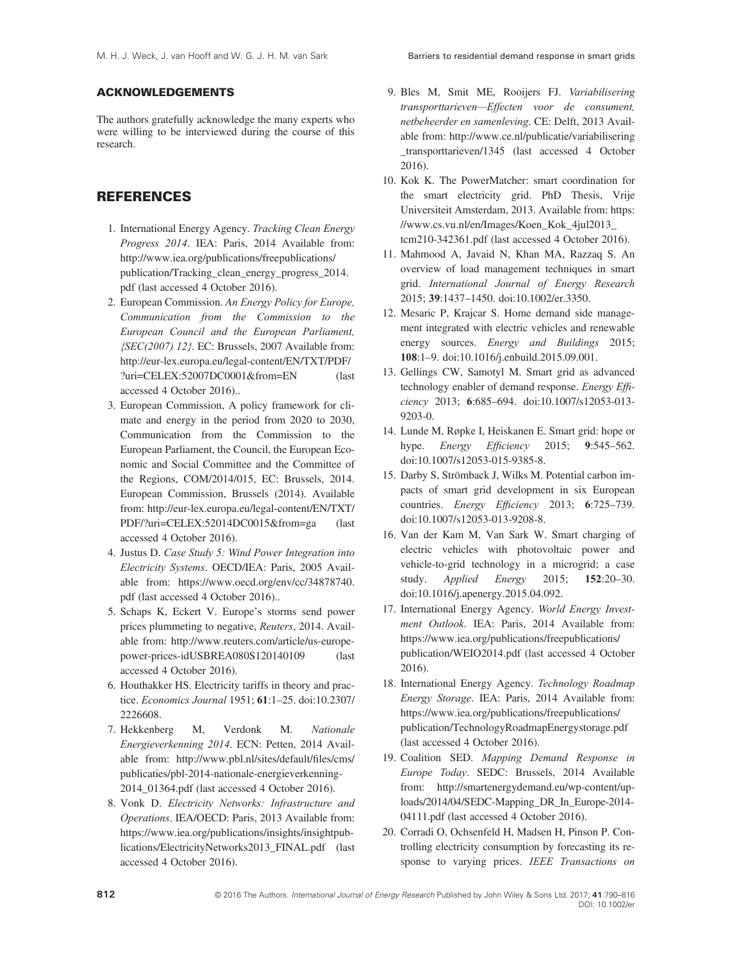#### ACKNOWLEDGEMENTS

The authors gratefully acknowledge the many experts who were willing to be interviewed during the course of this research.

## **REFERENCES**

- 1. International Energy Agency. Tracking Clean Energy Progress 2014. IEA: Paris, 2014 Available from: [http://www.iea.org/publications/freepublications/](http://www.iea.org/publications/freepublications/publication/Tracking_clean_energy_progress_2014.pdf) [publication/Tracking\\_clean\\_energy\\_progress\\_2014.](http://www.iea.org/publications/freepublications/publication/Tracking_clean_energy_progress_2014.pdf) [pdf](http://www.iea.org/publications/freepublications/publication/Tracking_clean_energy_progress_2014.pdf) (last accessed 4 October 2016).
- 2. European Commission. An Energy Policy for Europe, Communication from the Commission to the European Council and the European Parliament,  $\langle$ SEC(2007) 12 $\rangle$ . EC: Brussels, 2007 Available from: [http://eur-lex.europa.eu/legal-content/EN/TXT/PDF/](http://eur-lex.europa.eu/legal-content/EN/TXT/PDF/?uri=CELEX:52007DC0001&from=EN) [?uri=CELEX:52007DC0001&from=EN](http://eur-lex.europa.eu/legal-content/EN/TXT/PDF/?uri=CELEX:52007DC0001&from=EN) (last accessed 4 October 2016)..
- 3. European Commission, A policy framework for climate and energy in the period from 2020 to 2030, Communication from the Commission to the European Parliament, the Council, the European Economic and Social Committee and the Committee of the Regions, COM/2014/015, EC: Brussels, 2014. European Commission, Brussels (2014). Available from: [http://eur-lex.europa.eu/legal-content/EN/TXT/](http://eur-lex.europa.eu/legal-content/EN/TXT/PDF/?uri=CELEX:52014DC0015&from=ga) [PDF/?uri=CELEX:52014DC0015&from=ga](http://eur-lex.europa.eu/legal-content/EN/TXT/PDF/?uri=CELEX:52014DC0015&from=ga) (last accessed 4 October 2016).
- 4. Justus D. Case Study 5: Wind Power Integration into Electricity Systems. OECD/IEA: Paris, 2005 Available from: [https://www.oecd.org/env/cc/34878740.](https://www.oecd.org/env/cc/34878740.pdf) [pdf](https://www.oecd.org/env/cc/34878740.pdf) (last accessed 4 October 2016)..
- 5. Schaps K, Eckert V. Europe's storms send power prices plummeting to negative, Reuters, 2014. Available from: [http://www.reuters.com/article/us-europe](http://www.reuters.com/article/us-europe-power-prices-idUSBREA080S120140109)[power-prices-idUSBREA080S120140109](http://www.reuters.com/article/us-europe-power-prices-idUSBREA080S120140109) (last accessed 4 October 2016).
- 6. Houthakker HS. Electricity tariffs in theory and practice. Economics Journal 1951; 61:1–25. doi:[10.2307/](http://dx.doi.org/10.2307/2226608) [2226608.](http://dx.doi.org/10.2307/2226608)
- 7. Hekkenberg M, Verdonk M. Nationale Energieverkenning 2014. ECN: Petten, 2014 Available from: [http://www.pbl.nl/sites/default/](http://www.pbl.nl/sites/default/files/cms/publicaties/pbl-2014-nationale-energieverkenning-2014_01364.pdf)files/cms/ [publicaties/pbl-2014-nationale-energieverkenning-](http://www.pbl.nl/sites/default/files/cms/publicaties/pbl-2014-nationale-energieverkenning-2014_01364.pdf)[2014\\_01364.pdf](http://www.pbl.nl/sites/default/files/cms/publicaties/pbl-2014-nationale-energieverkenning-2014_01364.pdf) (last accessed 4 October 2016).
- 8. Vonk D. Electricity Networks: Infrastructure and Operations. IEA/OECD: Paris, 2013 Available from: [https://www.iea.org/publications/insights/insightpub](https://www.iea.org/publications/insights/insightpublications/ElectricityNetworks2013_FINAL.pdf)[lications/ElectricityNetworks2013\\_FINAL.pdf](https://www.iea.org/publications/insights/insightpublications/ElectricityNetworks2013_FINAL.pdf) (last accessed 4 October 2016).
- 9. Bles M, Smit ME, Rooijers FJ. Variabilisering transporttarieven—Effecten voor de consument, netbeheerder en samenleving. CE: Delft, 2013 Available from: [http://www.ce.nl/publicatie/variabilisering](http://www.ce.nl/publicatie/variabilisering_transporttarieven/1345) [\\_transporttarieven/1345](http://www.ce.nl/publicatie/variabilisering_transporttarieven/1345) (last accessed 4 October 2016).
- 10. Kok K. The PowerMatcher: smart coordination for the smart electricity grid. PhD Thesis, Vrije Universiteit Amsterdam, 2013. Available from: [https:](https://www.cs.vu.nl/en/Images/Koen_Kok_4jul2013_tcm210-342361.pdf) [//www.cs.vu.nl/en/Images/Koen\\_Kok\\_4jul2013\\_](https://www.cs.vu.nl/en/Images/Koen_Kok_4jul2013_tcm210-342361.pdf) [tcm210-342361.pdf](https://www.cs.vu.nl/en/Images/Koen_Kok_4jul2013_tcm210-342361.pdf) (last accessed 4 October 2016).
- 11. Mahmood A, Javaid N, Khan MA, Razzaq S. An overview of load management techniques in smart grid. International Journal of Energy Research 2015; 39:1437–1450. doi:[10.1002/er.3350.](http://dx.doi.org/10.1002/er.3350)
- 12. Mesaric P, Krajcar S. Home demand side management integrated with electric vehicles and renewable energy sources. *Energy and Buildings* 2015; 108:1–9. doi[:10.1016/j.enbuild.2015.09.001.](http://dx.doi.org/10.1016/j.enbuild.2015.09.001)
- 13. Gellings CW, Samotyl M. Smart grid as advanced technology enabler of demand response. Energy Efficiency 2013; 6:685–694. doi:[10.1007/s12053-013-](http://dx.doi.org/10.1007/s12053-013-9203-0) [9203-0.](http://dx.doi.org/10.1007/s12053-013-9203-0)
- 14. Lunde M, Røpke I, Heiskanen E. Smart grid: hope or hype. *Energy Efficiency* 2015; 9:545–562. doi:[10.1007/s12053-015-9385-8.](http://dx.doi.org/10.1007/s12053-015-9385-8)
- 15. Darby S, Strömback J, Wilks M. Potential carbon impacts of smart grid development in six European countries. Energy Efficiency 2013; 6:725-739. doi:[10.1007/s12053-013-9208-8.](http://dx.doi.org/10.1007/s12053-013-9208-8)
- 16. Van der Kam M, Van Sark W. Smart charging of electric vehicles with photovoltaic power and vehicle-to-grid technology in a microgrid; a case study. Applied Energy 2015; 152:20–30. doi:[10.1016/j.apenergy.2015.04.092.](http://dx.doi.org/10.1016/j.apenergy.2015.04.092)
- 17. International Energy Agency. World Energy Investment Outlook. IEA: Paris, 2014 Available from: [https://www.iea.org/publications/freepublications/](https://www.iea.org/publications/freepublications/publication/WEIO2014.pdf) [publication/WEIO2014.pdf](https://www.iea.org/publications/freepublications/publication/WEIO2014.pdf) (last accessed 4 October 2016).
- 18. International Energy Agency. Technology Roadmap Energy Storage. IEA: Paris, 2014 Available from: [https://www.iea.org/publications/freepublications/](https://www.iea.org/publications/freepublications/publication/TechnologyRoadmapEnergystorage.pdf) [publication/TechnologyRoadmapEnergystorage.pdf](https://www.iea.org/publications/freepublications/publication/TechnologyRoadmapEnergystorage.pdf) (last accessed 4 October 2016).
- 19. Coalition SED. Mapping Demand Response in Europe Today. SEDC: Brussels, 2014 Available from: [http://smartenergydemand.eu/wp-content/up](http://smartenergydemand.eu/wp-content/uploads/2014/04/SEDC-Mapping_DR_In_%3c?A3B2 thyc=10?%3eEurope%3c?A3B2 thyc=5?%3e-2014-04111.pdf)[loads/2014/04/SEDC-Mapping\\_DR\\_In\\_Europe-2014-](http://smartenergydemand.eu/wp-content/uploads/2014/04/SEDC-Mapping_DR_In_%3c?A3B2 thyc=10?%3eEurope%3c?A3B2 thyc=5?%3e-2014-04111.pdf) [04111.pdf](http://smartenergydemand.eu/wp-content/uploads/2014/04/SEDC-Mapping_DR_In_%3c?A3B2 thyc=10?%3eEurope%3c?A3B2 thyc=5?%3e-2014-04111.pdf) (last accessed 4 October 2016).
- 20. Corradi O, Ochsenfeld H, Madsen H, Pinson P. Controlling electricity consumption by forecasting its response to varying prices. IEEE Transactions on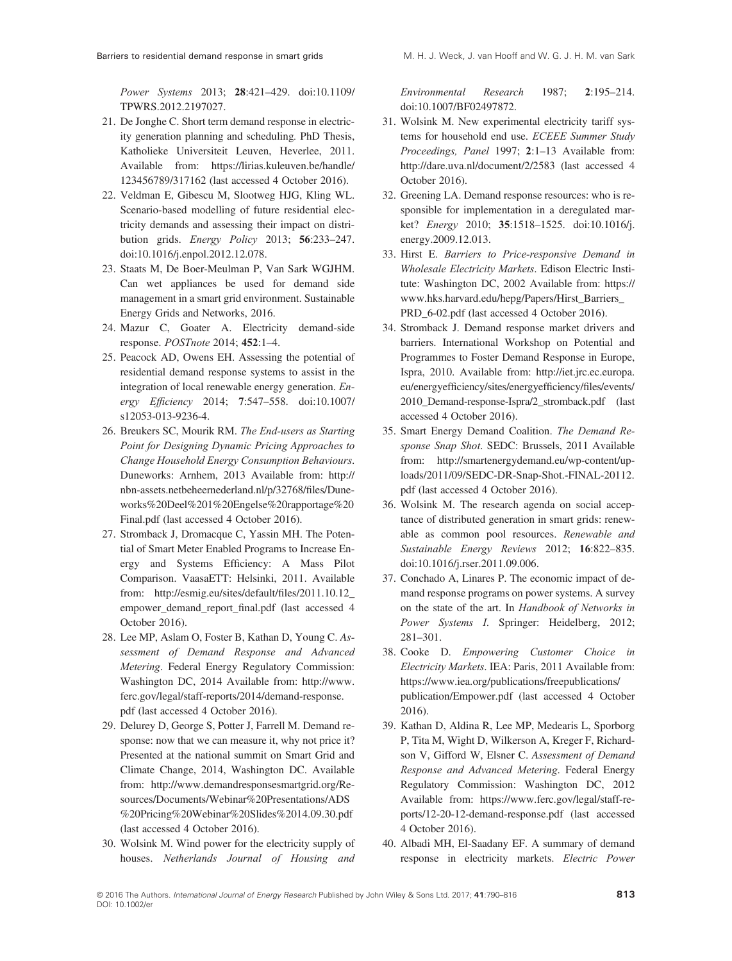Barriers to residential demand response in smart grids M. H. J. Weck, J. van Hooff and W. G. J. H. M. van Sark

Power Systems 2013; 28:421–429. doi:[10.1109/](http://dx.doi.org/10.1109/TPWRS.2012.2197027) [TPWRS.2012.2197027.](http://dx.doi.org/10.1109/TPWRS.2012.2197027)

- 21. De Jonghe C. Short term demand response in electricity generation planning and scheduling. PhD Thesis, Katholieke Universiteit Leuven, Heverlee, 2011. Available from: [https://lirias.kuleuven.be/handle/](https://lirias.kuleuven.be/handle/123456789/317162) [123456789/317162](https://lirias.kuleuven.be/handle/123456789/317162) (last accessed 4 October 2016).
- 22. Veldman E, Gibescu M, Slootweg HJG, Kling WL. Scenario-based modelling of future residential electricity demands and assessing their impact on distribution grids. Energy Policy 2013; 56:233–247. doi:[10.1016/j.enpol.2012.12.078.](http://dx.doi.org/10.1016/j.enpol.2012.12.078)
- 23. Staats M, De Boer-Meulman P, Van Sark WGJHM. Can wet appliances be used for demand side management in a smart grid environment. Sustainable Energy Grids and Networks, 2016.
- 24. Mazur C, Goater A. Electricity demand-side response. POSTnote 2014; 452:1–4.
- 25. Peacock AD, Owens EH. Assessing the potential of residential demand response systems to assist in the integration of local renewable energy generation. Energy Efficiency 2014; 7:547–558. doi:[10.1007/](http://dx.doi.org/10.1007/s12053-013-9236-4) [s12053-013-9236-4.](http://dx.doi.org/10.1007/s12053-013-9236-4)
- 26. Breukers SC, Mourik RM. The End-users as Starting Point for Designing Dynamic Pricing Approaches to Change Household Energy Consumption Behaviours. Duneworks: Arnhem, 2013 Available from: [http://](http://nbn-assets.netbeheernederland.nl/p/32768/files/Duneworks%20Deel%201%20Engelse%20rapportage%20Final.pdf) [nbn-assets.netbeheernederland.nl/p/32768/](http://nbn-assets.netbeheernederland.nl/p/32768/files/Duneworks%20Deel%201%20Engelse%20rapportage%20Final.pdf)files/Dune[works%20Deel%201%20Engelse%20rapportage%20](http://nbn-assets.netbeheernederland.nl/p/32768/files/Duneworks%20Deel%201%20Engelse%20rapportage%20Final.pdf) [Final.pdf](http://nbn-assets.netbeheernederland.nl/p/32768/files/Duneworks%20Deel%201%20Engelse%20rapportage%20Final.pdf) (last accessed 4 October 2016).
- 27. Stromback J, Dromacque C, Yassin MH. The Potential of Smart Meter Enabled Programs to Increase Energy and Systems Efficiency: A Mass Pilot Comparison. VaasaETT: Helsinki, 2011. Available from: [http://esmig.eu/sites/default/](http://esmig.eu/sites/default/files/2011.10.12_empower_demand_report_final.pdf)files/2011.10.12\_ [empower\\_demand\\_report\\_](http://esmig.eu/sites/default/files/2011.10.12_empower_demand_report_final.pdf)final.pdf (last accessed 4 October 2016).
- 28. Lee MP, Aslam O, Foster B, Kathan D, Young C. Assessment of Demand Response and Advanced Metering. Federal Energy Regulatory Commission: Washington DC, 2014 Available from: [http://www.](http://www.ferc.gov/legal/staff-reports/2014/demand-response.pdf) [ferc.gov/legal/staff-reports/2014/demand-response.](http://www.ferc.gov/legal/staff-reports/2014/demand-response.pdf) [pdf](http://www.ferc.gov/legal/staff-reports/2014/demand-response.pdf) (last accessed 4 October 2016).
- 29. Delurey D, George S, Potter J, Farrell M. Demand response: now that we can measure it, why not price it? Presented at the national summit on Smart Grid and Climate Change, 2014, Washington DC. Available from: [http://www.demandresponsesmartgrid.org/Re](http://www.demandresponsesmartgrid.org/Resources/Documents/Webinar%20Presentations/ADS%20Pricing%20Webinar%20Slides%2014.09.30.pdf)[sources/Documents/Webinar%20Presentations/ADS](http://www.demandresponsesmartgrid.org/Resources/Documents/Webinar%20Presentations/ADS%20Pricing%20Webinar%20Slides%2014.09.30.pdf) [%20Pricing%20Webinar%20Slides%2014.09.30.pdf](http://www.demandresponsesmartgrid.org/Resources/Documents/Webinar%20Presentations/ADS%20Pricing%20Webinar%20Slides%2014.09.30.pdf) (last accessed 4 October 2016).
- 30. Wolsink M. Wind power for the electricity supply of houses. Netherlands Journal of Housing and

Environmental Research 1987; 2:195–214. doi:[10.1007/BF02497872.](http://dx.doi.org/10.1007/BF02497872)

- 31. Wolsink M. New experimental electricity tariff systems for household end use. ECEEE Summer Study Proceedings, Panel 1997; 2:1–13 Available from: <http://dare.uva.nl/document/2/2583> (last accessed 4 October 2016).
- 32. Greening LA. Demand response resources: who is responsible for implementation in a deregulated market? Energy 2010; 35:1518–1525. doi[:10.1016/j.](http://dx.doi.org/10.1016/j.energy.2009.12.013) [energy.2009.12.013.](http://dx.doi.org/10.1016/j.energy.2009.12.013)
- 33. Hirst E. Barriers to Price-responsive Demand in Wholesale Electricity Markets. Edison Electric Institute: Washington DC, 2002 Available from: [https://](https://www.hks.harvard.edu/hepg/Papers/Hirst_Barriers_PRD_6-02.pdf) [www.hks.harvard.edu/hepg/Papers/Hirst\\_Barriers\\_](https://www.hks.harvard.edu/hepg/Papers/Hirst_Barriers_PRD_6-02.pdf) [PRD\\_6-02.pdf](https://www.hks.harvard.edu/hepg/Papers/Hirst_Barriers_PRD_6-02.pdf) (last accessed 4 October 2016).
- 34. Stromback J. Demand response market drivers and barriers. International Workshop on Potential and Programmes to Foster Demand Response in Europe, Ispra, 2010. Available from: [http://iet.jrc.ec.europa.](http://iet.jrc.ec.europa.eu/energyefficiency/sites/energyefficiency/files/events/2010_Demand-response-Ispra/2_stromback.pdf) eu/energyeffi[ciency/sites/energyef](http://iet.jrc.ec.europa.eu/energyefficiency/sites/energyefficiency/files/events/2010_Demand-response-Ispra/2_stromback.pdf)ficiency/files/events/ [2010\\_Demand-response-Ispra/2\\_stromback.pdf](http://iet.jrc.ec.europa.eu/energyefficiency/sites/energyefficiency/files/events/2010_Demand-response-Ispra/2_stromback.pdf) (last accessed 4 October 2016).
- 35. Smart Energy Demand Coalition. The Demand Response Snap Shot. SEDC: Brussels, 2011 Available from: [http://smartenergydemand.eu/wp-content/up](http://smartenergydemand.eu/wp-content/uploads/2011/09/SEDC-DR-Snap-Shot.-FINAL-20112.pdf)[loads/2011/09/SEDC-DR-Snap-Shot.-FINAL-20112.](http://smartenergydemand.eu/wp-content/uploads/2011/09/SEDC-DR-Snap-Shot.-FINAL-20112.pdf) [pdf](http://smartenergydemand.eu/wp-content/uploads/2011/09/SEDC-DR-Snap-Shot.-FINAL-20112.pdf) (last accessed 4 October 2016).
- 36. Wolsink M. The research agenda on social acceptance of distributed generation in smart grids: renewable as common pool resources. Renewable and Sustainable Energy Reviews 2012; 16:822–835. doi:[10.1016/j.rser.2011.09.006.](http://dx.doi.org/10.1016/j.rser.2011.09.006)
- 37. Conchado A, Linares P. The economic impact of demand response programs on power systems. A survey on the state of the art. In Handbook of Networks in Power Systems I. Springer: Heidelberg, 2012; 281–301.
- 38. Cooke D. Empowering Customer Choice in Electricity Markets. IEA: Paris, 2011 Available from: [https://www.iea.org/publications/freepublications/](https://www.iea.org/publications/freepublications/publication/Empower.pdf) [publication/Empower.pdf](https://www.iea.org/publications/freepublications/publication/Empower.pdf) (last accessed 4 October 2016).
- 39. Kathan D, Aldina R, Lee MP, Medearis L, Sporborg P, Tita M, Wight D, Wilkerson A, Kreger F, Richardson V, Gifford W, Elsner C. Assessment of Demand Response and Advanced Metering. Federal Energy Regulatory Commission: Washington DC, 2012 Available from: [https://www.ferc.gov/legal/staff-re](https://www.ferc.gov/legal/staff-reports/12-20-12-demand-response.pdf)[ports/12-20-12-demand-response.pdf](https://www.ferc.gov/legal/staff-reports/12-20-12-demand-response.pdf) (last accessed 4 October 2016).
- 40. Albadi MH, El-Saadany EF. A summary of demand response in electricity markets. Electric Power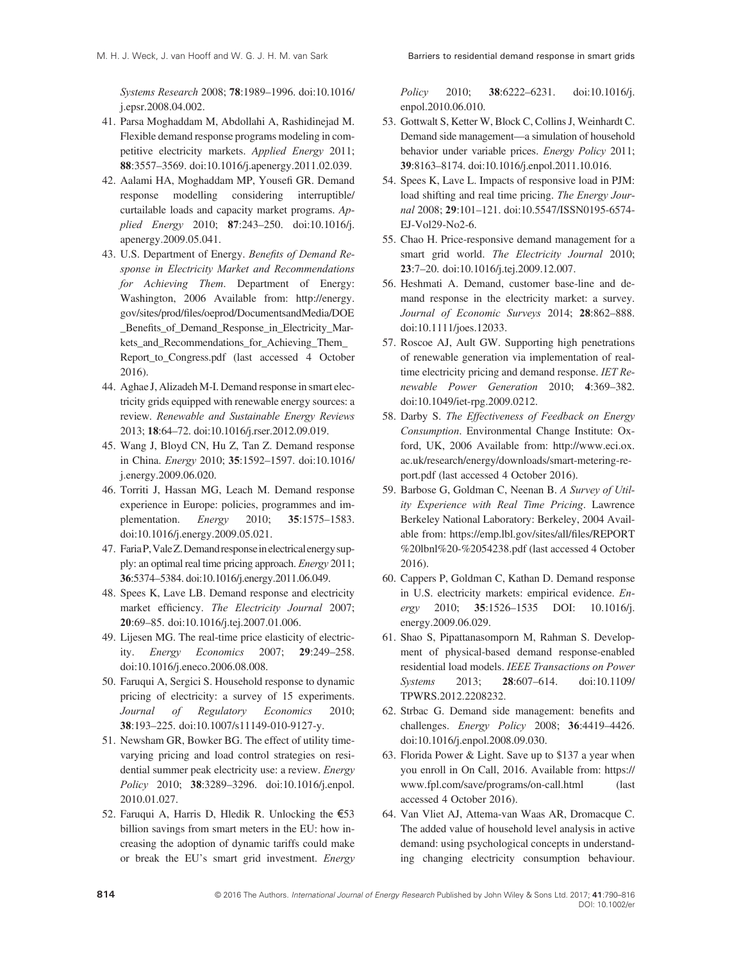Systems Research 2008; 78:1989–1996. doi:[10.1016/](http://dx.doi.org/10.1016/j.epsr.2008.04.002) [j.epsr.2008.04.002.](http://dx.doi.org/10.1016/j.epsr.2008.04.002)

- 41. Parsa Moghaddam M, Abdollahi A, Rashidinejad M. Flexible demand response programs modeling in competitive electricity markets. Applied Energy 2011; 88:3557–3569. doi[:10.1016/j.apenergy.2011.02.039.](http://dx.doi.org/10.1016/j.apenergy.2011.02.039)
- 42. Aalami HA, Moghaddam MP, Yousefi GR. Demand response modelling considering interruptible/ curtailable loads and capacity market programs. Applied Energy 2010; 87:243–250. doi[:10.1016/j.](http://dx.doi.org/10.1016/j.apenergy.2009.05.041) [apenergy.2009.05.041.](http://dx.doi.org/10.1016/j.apenergy.2009.05.041)
- 43. U.S. Department of Energy. Benefits of Demand Response in Electricity Market and Recommendations for Achieving Them. Department of Energy: Washington, 2006 Available from: [http://energy.](http://energy.gov/sites/prod/files/oeprod/DocumentsandMedia/DOE_Benefits_of_Demand_Response_in_Electricity_Markets_and_Recommendations_for_Achieving_Them_Report_to_Congress.pdf) gov/sites/prod/fi[les/oeprod/DocumentsandMedia/DOE](http://energy.gov/sites/prod/files/oeprod/DocumentsandMedia/DOE_Benefits_of_Demand_Response_in_Electricity_Markets_and_Recommendations_for_Achieving_Them_Report_to_Congress.pdf) \_Benefi[ts\\_of\\_Demand\\_Response\\_in\\_Electricity\\_Mar](http://energy.gov/sites/prod/files/oeprod/DocumentsandMedia/DOE_Benefits_of_Demand_Response_in_Electricity_Markets_and_Recommendations_for_Achieving_Them_Report_to_Congress.pdf)kets and Recommendations for Achieving Them [Report\\_to\\_Congress.pdf](http://energy.gov/sites/prod/files/oeprod/DocumentsandMedia/DOE_Benefits_of_Demand_Response_in_Electricity_Markets_and_Recommendations_for_Achieving_Them_Report_to_Congress.pdf) (last accessed 4 October 2016).
- 44. Aghae J, Alizadeh M-I. Demand response in smart electricity grids equipped with renewable energy sources: a review. Renewable and Sustainable Energy Reviews 2013; 18:64–72. doi[:10.1016/j.rser.2012.09.019.](http://dx.doi.org/10.1016/j.rser.2012.09.019)
- 45. Wang J, Bloyd CN, Hu Z, Tan Z. Demand response in China. Energy 2010; 35:1592–1597. doi:[10.1016/](http://dx.doi.org/10.1016/j.energy.2009.06.020) [j.energy.2009.06.020.](http://dx.doi.org/10.1016/j.energy.2009.06.020)
- 46. Torriti J, Hassan MG, Leach M. Demand response experience in Europe: policies, programmes and implementation. Energy 2010; 35:1575–1583. doi:[10.1016/j.energy.2009.05.021.](http://dx.doi.org/10.1016/j.energy.2009.05.021)
- 47. FariaP,ValeZ.Demand responseinelectricalenergy supply: an optimal real time pricing approach. Energy 2011; 36:5374–5384. doi[:10.1016/j.energy.2011.06.049.](http://dx.doi.org/10.1016/j.energy.2011.06.049)
- 48. Spees K, Lave LB. Demand response and electricity market efficiency. The Electricity Journal 2007; 20:69–85. doi:[10.1016/j.tej.2007.01.006.](http://dx.doi.org/10.1016/j.tej.2007.01.006)
- 49. Lijesen MG. The real-time price elasticity of electricity. Energy Economics 2007; 29:249–258. doi:[10.1016/j.eneco.2006.08.008.](http://dx.doi.org/10.1016/j.eneco.2006.08.008)
- 50. Faruqui A, Sergici S. Household response to dynamic pricing of electricity: a survey of 15 experiments. Journal of Regulatory Economics 2010; 38:193–225. doi:[10.1007/s11149-010-9127-y.](http://dx.doi.org/10.1007/s11149-010-9127-y)
- 51. Newsham GR, Bowker BG. The effect of utility timevarying pricing and load control strategies on residential summer peak electricity use: a review. Energy Policy 2010; 38:3289–3296. doi[:10.1016/j.enpol.](http://dx.doi.org/10.1016/j.enpol.2010.01.027) [2010.01.027.](http://dx.doi.org/10.1016/j.enpol.2010.01.027)
- 52. Faruqui A, Harris D, Hledik R. Unlocking the €53 billion savings from smart meters in the EU: how increasing the adoption of dynamic tariffs could make or break the EU's smart grid investment. Energy

Policy 2010; 38:6222–6231. doi[:10.1016/j.](http://dx.doi.org/10.1016/j.enpol.2010.06.010) [enpol.2010.06.010.](http://dx.doi.org/10.1016/j.enpol.2010.06.010)

- 53. Gottwalt S, Ketter W, Block C, Collins J, Weinhardt C. Demand side management—a simulation of household behavior under variable prices. Energy Policy 2011; 39:8163–8174. doi:[10.1016/j.enpol.2011.10.016.](http://dx.doi.org/10.1016/j.enpol.2011.10.016)
- 54. Spees K, Lave L. Impacts of responsive load in PJM: load shifting and real time pricing. The Energy Journal 2008; 29:101–121. doi:[10.5547/ISSN0195-6574-](http://dx.doi.org/10.5547/ISSN0195-6574-EJ-Vol29-No2-6) [EJ-Vol29-No2-6.](http://dx.doi.org/10.5547/ISSN0195-6574-EJ-Vol29-No2-6)
- 55. Chao H. Price-responsive demand management for a smart grid world. The Electricity Journal 2010; 23:7–20. doi[:10.1016/j.tej.2009.12.007.](http://dx.doi.org/10.1016/j.tej.2009.12.007)
- 56. Heshmati A. Demand, customer base-line and demand response in the electricity market: a survey. Journal of Economic Surveys 2014; 28:862–888. doi:[10.1111/joes.12033.](http://dx.doi.org/10.1111/joes.12033)
- 57. Roscoe AJ, Ault GW. Supporting high penetrations of renewable generation via implementation of realtime electricity pricing and demand response. IET Renewable Power Generation 2010; 4:369–382. doi:[10.1049/iet-rpg.2009.0212.](http://dx.doi.org/10.1049/iet-rpg.2009.0212)
- 58. Darby S. The Effectiveness of Feedback on Energy Consumption. Environmental Change Institute: Oxford, UK, 2006 Available from: [http://www.eci.ox.](http://www.eci.ox.ac.uk/research/energy/downloads/smart-metering-report.pdf) [ac.uk/research/energy/downloads/smart-metering-re](http://www.eci.ox.ac.uk/research/energy/downloads/smart-metering-report.pdf)[port.pdf](http://www.eci.ox.ac.uk/research/energy/downloads/smart-metering-report.pdf) (last accessed 4 October 2016).
- 59. Barbose G, Goldman C, Neenan B. A Survey of Utility Experience with Real Time Pricing. Lawrence Berkeley National Laboratory: Berkeley, 2004 Available from: [https://emp.lbl.gov/sites/all/](https://emp.lbl.gov/sites/all/files/REPORT%20lbnl%20-%2054238.pdf)files/REPORT [%20lbnl%20-%2054238.pdf](https://emp.lbl.gov/sites/all/files/REPORT%20lbnl%20-%2054238.pdf) (last accessed 4 October 2016).
- 60. Cappers P, Goldman C, Kathan D. Demand response in U.S. electricity markets: empirical evidence. Energy 2010; 35:1526–1535 DOI: [10.1016/j.](http://dx.doi.org/10.1016/j.energy.2009.06.029) [energy.2009.06.029.](http://dx.doi.org/10.1016/j.energy.2009.06.029)
- 61. Shao S, Pipattanasomporn M, Rahman S. Development of physical-based demand response-enabled residential load models. IEEE Transactions on Power Systems 2013; 28:607–614. doi:[10.1109/](http://dx.doi.org/10.1109/TPWRS.2012.2208232) [TPWRS.2012.2208232.](http://dx.doi.org/10.1109/TPWRS.2012.2208232)
- 62. Strbac G. Demand side management: benefits and challenges. Energy Policy 2008; 36:4419–4426. doi:[10.1016/j.enpol.2008.09.030.](http://dx.doi.org/10.1016/j.enpol.2008.09.030)
- 63. Florida Power & Light. Save up to \$137 a year when you enroll in On Call, 2016. Available from: [https://](https://www.fpl.com/save/programs/on-call.html) [www.fpl.com/save/programs/on-call.html](https://www.fpl.com/save/programs/on-call.html) (last accessed 4 October 2016).
- 64. Van Vliet AJ, Attema-van Waas AR, Dromacque C. The added value of household level analysis in active demand: using psychological concepts in understanding changing electricity consumption behaviour.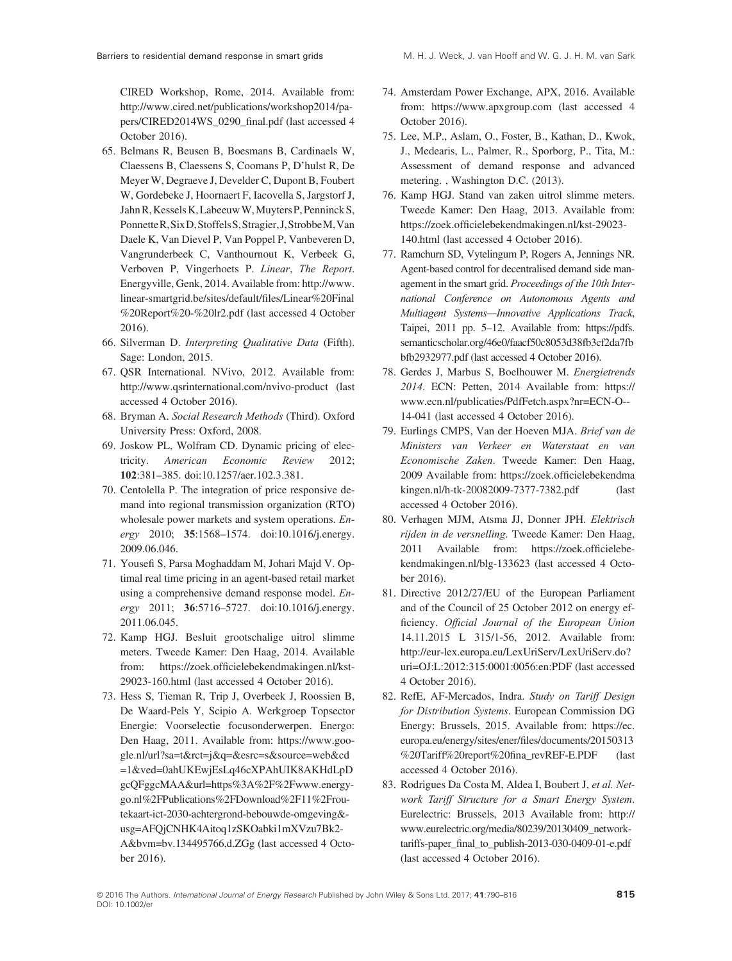CIRED Workshop, Rome, 2014. Available from: [http://www.cired.net/publications/workshop2014/pa](http://www.cired.net/publications/workshop2014/papers/CIRED2014WS_0290_final.pdf)[pers/CIRED2014WS\\_0290\\_](http://www.cired.net/publications/workshop2014/papers/CIRED2014WS_0290_final.pdf)final.pdf (last accessed 4 October 2016).

- 65. Belmans R, Beusen B, Boesmans B, Cardinaels W, Claessens B, Claessens S, Coomans P, D'hulst R, De Meyer W, Degraeve J, Develder C, Dupont B, Foubert W, Gordebeke J, Hoornaert F, Iacovella S, Jargstorf J, Jahn R, Kessels K, Labeeuw W, Muyters P, Penninck S, PonnetteR,SixD,StoffelsS,Stragier,J,StrobbeM,Van Daele K, Van Dievel P, Van Poppel P, Vanbeveren D, Vangrunderbeek C, Vanthournout K, Verbeek G, Verboven P, Vingerhoets P. Linear, The Report. Energyville, Genk, 2014. Available from: [http://www.](http://www.linear-smartgrid.be/sites/default/files/Linear%20Final%20Report%20-%20lr2.pdf) [linear-smartgrid.be/sites/default/](http://www.linear-smartgrid.be/sites/default/files/Linear%20Final%20Report%20-%20lr2.pdf)files/Linear%20Final [%20Report%20-%20lr2.pdf](http://www.linear-smartgrid.be/sites/default/files/Linear%20Final%20Report%20-%20lr2.pdf) (last accessed 4 October 2016).
- 66. Silverman D. Interpreting Qualitative Data (Fifth). Sage: London, 2015.
- 67. QSR International. NVivo, 2012. Available from: <http://www.qsrinternational.com/nvivo-product> (last accessed 4 October 2016).
- 68. Bryman A. Social Research Methods (Third). Oxford University Press: Oxford, 2008.
- 69. Joskow PL, Wolfram CD. Dynamic pricing of electricity. American Economic Review 2012; 102:381–385. doi[:10.1257/aer.102.3.381.](http://dx.doi.org/10.1257/aer.102.3.381)
- 70. Centolella P. The integration of price responsive demand into regional transmission organization (RTO) wholesale power markets and system operations. Energy 2010; 35:1568–1574. doi:[10.1016/j.energy.](http://dx.doi.org/10.1016/j.energy.2009.06.046) [2009.06.046.](http://dx.doi.org/10.1016/j.energy.2009.06.046)
- 71. Yousefi S, Parsa Moghaddam M, Johari Majd V. Optimal real time pricing in an agent-based retail market using a comprehensive demand response model. Energy 2011; 36:5716–5727. doi:[10.1016/j.energy.](http://dx.doi.org/10.1016/j.energy.2011.06.045) [2011.06.045.](http://dx.doi.org/10.1016/j.energy.2011.06.045)
- 72. Kamp HGJ. Besluit grootschalige uitrol slimme meters. Tweede Kamer: Den Haag, 2014. Available from: https://zoek.offi[cielebekendmakingen.nl/kst-](https://zoek.officielebekendmakingen.nl/kst-29023-160.html)[29023-160.html](https://zoek.officielebekendmakingen.nl/kst-29023-160.html) (last accessed 4 October 2016).
- 73. Hess S, Tieman R, Trip J, Overbeek J, Roossien B, De Waard-Pels Y, Scipio A. Werkgroep Topsector Energie: Voorselectie focusonderwerpen. Energo: Den Haag, 2011. Available from: [https://www.goo](https://www.google.nl/url?sa=t&rct=j&q=&esrc=s&source=web&cd=1&ved=0ahUKEwjEsLq46cXPAhUIK8AKHdLpDgcQFggcMAA&url=https%3A%2F%2Fwww.energygo.nl%2FPublications%2FDownload%2F11%2Froutekaart-ict-2030-achtergrond-bebouwde-omgeving&usg=AFQjCNHK4Aitoq1zSKOabki1mXVzu7Bk2A&bvm=bv.134495766,d.ZGg)[gle.nl/url?sa=t&rct=j&q=&esrc=s&source=web&cd](https://www.google.nl/url?sa=t&rct=j&q=&esrc=s&source=web&cd=1&ved=0ahUKEwjEsLq46cXPAhUIK8AKHdLpDgcQFggcMAA&url=https%3A%2F%2Fwww.energygo.nl%2FPublications%2FDownload%2F11%2Froutekaart-ict-2030-achtergrond-bebouwde-omgeving&usg=AFQjCNHK4Aitoq1zSKOabki1mXVzu7Bk2A&bvm=bv.134495766,d.ZGg) [=1&ved=0ahUKEwjEsLq46cXPAhUIK8AKHdLpD](https://www.google.nl/url?sa=t&rct=j&q=&esrc=s&source=web&cd=1&ved=0ahUKEwjEsLq46cXPAhUIK8AKHdLpDgcQFggcMAA&url=https%3A%2F%2Fwww.energygo.nl%2FPublications%2FDownload%2F11%2Froutekaart-ict-2030-achtergrond-bebouwde-omgeving&usg=AFQjCNHK4Aitoq1zSKOabki1mXVzu7Bk2A&bvm=bv.134495766,d.ZGg) [gcQFggcMAA&url=https%3A%2F%2Fwww.energy](https://www.google.nl/url?sa=t&rct=j&q=&esrc=s&source=web&cd=1&ved=0ahUKEwjEsLq46cXPAhUIK8AKHdLpDgcQFggcMAA&url=https%3A%2F%2Fwww.energygo.nl%2FPublications%2FDownload%2F11%2Froutekaart-ict-2030-achtergrond-bebouwde-omgeving&usg=AFQjCNHK4Aitoq1zSKOabki1mXVzu7Bk2A&bvm=bv.134495766,d.ZGg)[go.nl%2FPublications%2FDownload%2F11%2Frou](https://www.google.nl/url?sa=t&rct=j&q=&esrc=s&source=web&cd=1&ved=0ahUKEwjEsLq46cXPAhUIK8AKHdLpDgcQFggcMAA&url=https%3A%2F%2Fwww.energygo.nl%2FPublications%2FDownload%2F11%2Froutekaart-ict-2030-achtergrond-bebouwde-omgeving&usg=AFQjCNHK4Aitoq1zSKOabki1mXVzu7Bk2A&bvm=bv.134495766,d.ZGg)[tekaart-ict-2030-achtergrond-bebouwde-omgeving&](https://www.google.nl/url?sa=t&rct=j&q=&esrc=s&source=web&cd=1&ved=0ahUKEwjEsLq46cXPAhUIK8AKHdLpDgcQFggcMAA&url=https%3A%2F%2Fwww.energygo.nl%2FPublications%2FDownload%2F11%2Froutekaart-ict-2030-achtergrond-bebouwde-omgeving&usg=AFQjCNHK4Aitoq1zSKOabki1mXVzu7Bk2A&bvm=bv.134495766,d.ZGg) [usg=AFQjCNHK4Aitoq1zSKOabki1mXVzu7Bk2-](https://www.google.nl/url?sa=t&rct=j&q=&esrc=s&source=web&cd=1&ved=0ahUKEwjEsLq46cXPAhUIK8AKHdLpDgcQFggcMAA&url=https%3A%2F%2Fwww.energygo.nl%2FPublications%2FDownload%2F11%2Froutekaart-ict-2030-achtergrond-bebouwde-omgeving&usg=AFQjCNHK4Aitoq1zSKOabki1mXVzu7Bk2A&bvm=bv.134495766,d.ZGg) [A&bvm=bv.134495766,d.ZGg](https://www.google.nl/url?sa=t&rct=j&q=&esrc=s&source=web&cd=1&ved=0ahUKEwjEsLq46cXPAhUIK8AKHdLpDgcQFggcMAA&url=https%3A%2F%2Fwww.energygo.nl%2FPublications%2FDownload%2F11%2Froutekaart-ict-2030-achtergrond-bebouwde-omgeving&usg=AFQjCNHK4Aitoq1zSKOabki1mXVzu7Bk2A&bvm=bv.134495766,d.ZGg) (last accessed 4 October 2016).
- 74. Amsterdam Power Exchange, APX, 2016. Available from:<https://www.apxgroup.com> (last accessed 4 October 2016).
- 75. Lee, M.P., Aslam, O., Foster, B., Kathan, D., Kwok, J., Medearis, L., Palmer, R., Sporborg, P., Tita, M.: Assessment of demand response and advanced metering. , Washington D.C. (2013).
- 76. Kamp HGJ. Stand van zaken uitrol slimme meters. Tweede Kamer: Den Haag, 2013. Available from: https://zoek.offi[cielebekendmakingen.nl/kst-29023-](https://zoek.officielebekendmakingen.nl/kst-29023-140.html) [140.html](https://zoek.officielebekendmakingen.nl/kst-29023-140.html) (last accessed 4 October 2016).
- 77. Ramchurn SD, Vytelingum P, Rogers A, Jennings NR. Agent-based control for decentralised demand side management in the smart grid. Proceedings of the 10th International Conference on Autonomous Agents and Multiagent Systems—Innovative Applications Track, Taipei, 2011 pp. 5–12. Available from: [https://pdfs.](https://pdfs.semanticscholar.org/46e0/faacf50c8053d38fb3cf2da7fbbfb2932977.pdf) [semanticscholar.org/46e0/faacf50c8053d38fb3cf2da7fb](https://pdfs.semanticscholar.org/46e0/faacf50c8053d38fb3cf2da7fbbfb2932977.pdf) [bfb2932977.pdf](https://pdfs.semanticscholar.org/46e0/faacf50c8053d38fb3cf2da7fbbfb2932977.pdf) (last accessed 4 October 2016).
- 78. Gerdes J, Marbus S, Boelhouwer M. Energietrends 2014. ECN: Petten, 2014 Available from: [https://](https://www.ecn.nl/publicaties/PdfFetch.aspx?nr=ECN-O--14-041) [www.ecn.nl/publicaties/PdfFetch.aspx?nr=ECN-O--](https://www.ecn.nl/publicaties/PdfFetch.aspx?nr=ECN-O--14-041) [14-041](https://www.ecn.nl/publicaties/PdfFetch.aspx?nr=ECN-O--14-041) (last accessed 4 October 2016).
- 79. Eurlings CMPS, Van der Hoeven MJA. Brief van de Ministers van Verkeer en Waterstaat en van Economische Zaken. Tweede Kamer: Den Haag, 2009 Available from: https://zoek.offi[cielebekendma](https://zoek.officielebekendmakingen.nl/h-tk-20082009-7377-7382.pdf) [kingen.nl/h-tk-20082009-7377-7382.pdf](https://zoek.officielebekendmakingen.nl/h-tk-20082009-7377-7382.pdf) (last accessed 4 October 2016).
- 80. Verhagen MJM, Atsma JJ, Donner JPH. Elektrisch rijden in de versnelling. Tweede Kamer: Den Haag, 2011 Available from: [https://zoek.of](https://zoek.officielebekendmakingen.nl/blg-133623)ficielebe[kendmakingen.nl/blg-133623](https://zoek.officielebekendmakingen.nl/blg-133623) (last accessed 4 October 2016).
- 81. Directive 2012/27/EU of the European Parliament and of the Council of 25 October 2012 on energy efficiency. Official Journal of the European Union 14.11.2015 L 315/1-56, 2012. Available from: [http://eur-lex.europa.eu/LexUriServ/LexUriServ.do?](http://eur-lex.europa.eu/LexUriServ/LexUriServ.do?uri=OJ:L:2012:315:0001:0056:en:PDF) [uri=OJ:L:2012:315:0001:0056:en:PDF](http://eur-lex.europa.eu/LexUriServ/LexUriServ.do?uri=OJ:L:2012:315:0001:0056:en:PDF) (last accessed 4 October 2016).
- 82. RefE, AF-Mercados, Indra. Study on Tariff Design for Distribution Systems. European Commission DG Energy: Brussels, 2015. Available from: [https://ec.](https://ec.europa.eu/energy/sites/ener/files/documents/20150313%20Tariff%20report%20fina_revREF-E.PDF) [europa.eu/energy/sites/ener/](https://ec.europa.eu/energy/sites/ener/files/documents/20150313%20Tariff%20report%20fina_revREF-E.PDF)files/documents/20150313 [%20Tariff%20report%20](https://ec.europa.eu/energy/sites/ener/files/documents/20150313%20Tariff%20report%20fina_revREF-E.PDF)fina\_revREF-E.PDF (last accessed 4 October 2016).
- 83. Rodrigues Da Costa M, Aldea I, Boubert J, et al. Network Tariff Structure for a Smart Energy System. Eurelectric: Brussels, 2013 Available from: [http://](http://www.eurelectric.org/media/80239/20130409_network-tariffs-paper_final_to_publish-2013-030-0409-01-e.pdf) [www.eurelectric.org/media/80239/20130409\\_network](http://www.eurelectric.org/media/80239/20130409_network-tariffs-paper_final_to_publish-2013-030-0409-01-e.pdf)tariffs-paper\_fi[nal\\_to\\_publish-2013-030-0409-01-e.pdf](http://www.eurelectric.org/media/80239/20130409_network-tariffs-paper_final_to_publish-2013-030-0409-01-e.pdf) (last accessed 4 October 2016).